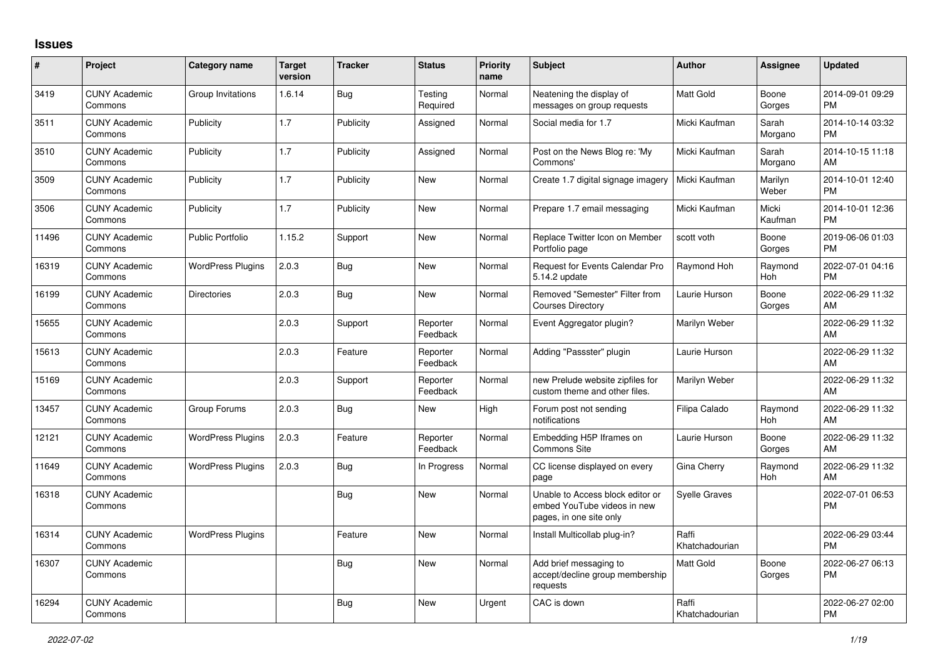## **Issues**

| #     | Project                         | <b>Category name</b>     | <b>Target</b><br>version | <b>Tracker</b> | <b>Status</b>        | <b>Priority</b><br>name | <b>Subject</b>                                                                             | <b>Author</b>           | Assignee         | <b>Updated</b>                |
|-------|---------------------------------|--------------------------|--------------------------|----------------|----------------------|-------------------------|--------------------------------------------------------------------------------------------|-------------------------|------------------|-------------------------------|
| 3419  | <b>CUNY Academic</b><br>Commons | Group Invitations        | 1.6.14                   | <b>Bug</b>     | Testing<br>Required  | Normal                  | Neatening the display of<br>messages on group requests                                     | <b>Matt Gold</b>        | Boone<br>Gorges  | 2014-09-01 09:29<br><b>PM</b> |
| 3511  | <b>CUNY Academic</b><br>Commons | Publicity                | 1.7                      | Publicity      | Assigned             | Normal                  | Social media for 1.7                                                                       | Micki Kaufman           | Sarah<br>Morgano | 2014-10-14 03:32<br><b>PM</b> |
| 3510  | <b>CUNY Academic</b><br>Commons | Publicity                | 1.7                      | Publicity      | Assigned             | Normal                  | Post on the News Blog re: 'My<br>Commons'                                                  | Micki Kaufman           | Sarah<br>Morgano | 2014-10-15 11:18<br>AM        |
| 3509  | <b>CUNY Academic</b><br>Commons | Publicity                | 1.7                      | Publicity      | <b>New</b>           | Normal                  | Create 1.7 digital signage imagery                                                         | Micki Kaufman           | Marilyn<br>Weber | 2014-10-01 12:40<br><b>PM</b> |
| 3506  | <b>CUNY Academic</b><br>Commons | Publicity                | 1.7                      | Publicity      | New                  | Normal                  | Prepare 1.7 email messaging                                                                | Micki Kaufman           | Micki<br>Kaufman | 2014-10-01 12:36<br><b>PM</b> |
| 11496 | <b>CUNY Academic</b><br>Commons | <b>Public Portfolio</b>  | 1.15.2                   | Support        | New                  | Normal                  | Replace Twitter Icon on Member<br>Portfolio page                                           | scott voth              | Boone<br>Gorges  | 2019-06-06 01:03<br><b>PM</b> |
| 16319 | <b>CUNY Academic</b><br>Commons | <b>WordPress Plugins</b> | 2.0.3                    | Bug            | <b>New</b>           | Normal                  | Request for Events Calendar Pro<br>5.14.2 update                                           | Raymond Hoh             | Raymond<br>Hoh   | 2022-07-01 04:16<br><b>PM</b> |
| 16199 | <b>CUNY Academic</b><br>Commons | <b>Directories</b>       | 2.0.3                    | Bug            | <b>New</b>           | Normal                  | Removed "Semester" Filter from<br><b>Courses Directory</b>                                 | Laurie Hurson           | Boone<br>Gorges  | 2022-06-29 11:32<br>AM        |
| 15655 | <b>CUNY Academic</b><br>Commons |                          | 2.0.3                    | Support        | Reporter<br>Feedback | Normal                  | Event Aggregator plugin?                                                                   | Marilyn Weber           |                  | 2022-06-29 11:32<br>AM        |
| 15613 | <b>CUNY Academic</b><br>Commons |                          | 2.0.3                    | Feature        | Reporter<br>Feedback | Normal                  | Adding "Passster" plugin                                                                   | Laurie Hurson           |                  | 2022-06-29 11:32<br>AM        |
| 15169 | <b>CUNY Academic</b><br>Commons |                          | 2.0.3                    | Support        | Reporter<br>Feedback | Normal                  | new Prelude website zipfiles for<br>custom theme and other files.                          | Marilyn Weber           |                  | 2022-06-29 11:32<br>AM        |
| 13457 | <b>CUNY Academic</b><br>Commons | Group Forums             | 2.0.3                    | Bug            | New                  | High                    | Forum post not sending<br>notifications                                                    | Filipa Calado           | Raymond<br>Hoh   | 2022-06-29 11:32<br>AM        |
| 12121 | <b>CUNY Academic</b><br>Commons | <b>WordPress Plugins</b> | 2.0.3                    | Feature        | Reporter<br>Feedback | Normal                  | Embedding H5P Iframes on<br><b>Commons Site</b>                                            | Laurie Hurson           | Boone<br>Gorges  | 2022-06-29 11:32<br>AM        |
| 11649 | <b>CUNY Academic</b><br>Commons | <b>WordPress Plugins</b> | 2.0.3                    | Bug            | In Progress          | Normal                  | CC license displayed on every<br>page                                                      | Gina Cherry             | Raymond<br>Hoh   | 2022-06-29 11:32<br>AM        |
| 16318 | <b>CUNY Academic</b><br>Commons |                          |                          | Bug            | New                  | Normal                  | Unable to Access block editor or<br>embed YouTube videos in new<br>pages, in one site only | <b>Syelle Graves</b>    |                  | 2022-07-01 06:53<br>PM        |
| 16314 | <b>CUNY Academic</b><br>Commons | <b>WordPress Plugins</b> |                          | Feature        | <b>New</b>           | Normal                  | Install Multicollab plug-in?                                                               | Raffi<br>Khatchadourian |                  | 2022-06-29 03:44<br><b>PM</b> |
| 16307 | <b>CUNY Academic</b><br>Commons |                          |                          | Bug            | New                  | Normal                  | Add brief messaging to<br>accept/decline group membership<br>requests                      | <b>Matt Gold</b>        | Boone<br>Gorges  | 2022-06-27 06:13<br><b>PM</b> |
| 16294 | <b>CUNY Academic</b><br>Commons |                          |                          | Bug            | New                  | Urgent                  | CAC is down                                                                                | Raffi<br>Khatchadourian |                  | 2022-06-27 02:00<br>PM        |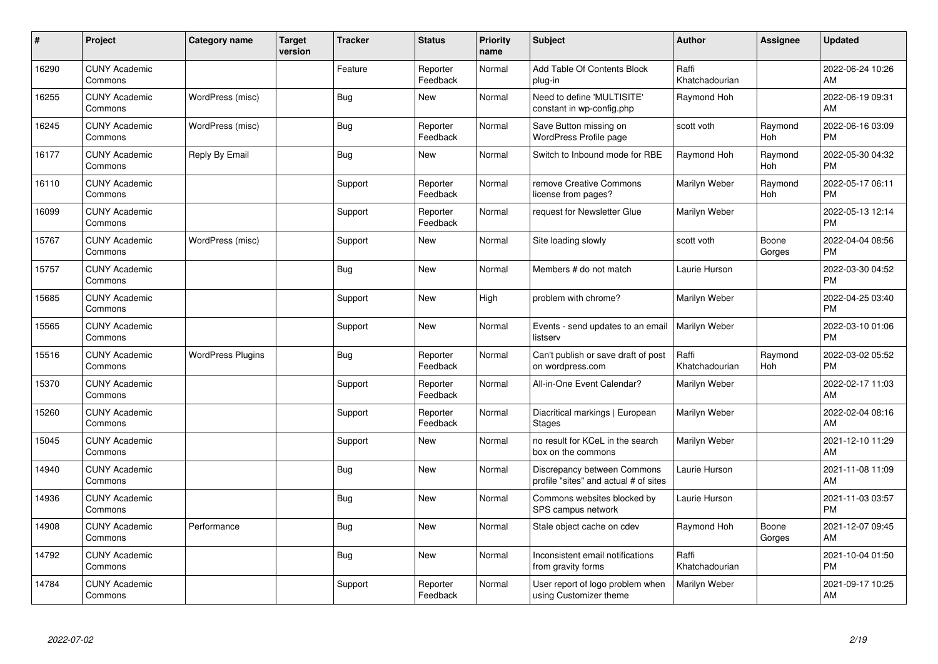| #     | Project                         | <b>Category name</b>     | <b>Target</b><br>version | <b>Tracker</b> | <b>Status</b>        | <b>Priority</b><br>name | <b>Subject</b>                                                       | <b>Author</b>           | <b>Assignee</b> | <b>Updated</b>                |
|-------|---------------------------------|--------------------------|--------------------------|----------------|----------------------|-------------------------|----------------------------------------------------------------------|-------------------------|-----------------|-------------------------------|
| 16290 | <b>CUNY Academic</b><br>Commons |                          |                          | Feature        | Reporter<br>Feedback | Normal                  | Add Table Of Contents Block<br>plug-in                               | Raffi<br>Khatchadourian |                 | 2022-06-24 10:26<br>AM        |
| 16255 | <b>CUNY Academic</b><br>Commons | WordPress (misc)         |                          | <b>Bug</b>     | <b>New</b>           | Normal                  | Need to define 'MULTISITE'<br>constant in wp-config.php              | Raymond Hoh             |                 | 2022-06-19 09:31<br>AM        |
| 16245 | <b>CUNY Academic</b><br>Commons | WordPress (misc)         |                          | Bug            | Reporter<br>Feedback | Normal                  | Save Button missing on<br>WordPress Profile page                     | scott voth              | Raymond<br>Hoh  | 2022-06-16 03:09<br><b>PM</b> |
| 16177 | <b>CUNY Academic</b><br>Commons | Reply By Email           |                          | Bug            | <b>New</b>           | Normal                  | Switch to Inbound mode for RBE                                       | Raymond Hoh             | Raymond<br>Hoh  | 2022-05-30 04:32<br><b>PM</b> |
| 16110 | <b>CUNY Academic</b><br>Commons |                          |                          | Support        | Reporter<br>Feedback | Normal                  | remove Creative Commons<br>license from pages?                       | Marilyn Weber           | Raymond<br>Hoh  | 2022-05-17 06:11<br><b>PM</b> |
| 16099 | <b>CUNY Academic</b><br>Commons |                          |                          | Support        | Reporter<br>Feedback | Normal                  | request for Newsletter Glue                                          | Marilyn Weber           |                 | 2022-05-13 12:14<br><b>PM</b> |
| 15767 | <b>CUNY Academic</b><br>Commons | WordPress (misc)         |                          | Support        | New                  | Normal                  | Site loading slowly                                                  | scott voth              | Boone<br>Gorges | 2022-04-04 08:56<br><b>PM</b> |
| 15757 | <b>CUNY Academic</b><br>Commons |                          |                          | Bug            | <b>New</b>           | Normal                  | Members # do not match                                               | Laurie Hurson           |                 | 2022-03-30 04:52<br><b>PM</b> |
| 15685 | <b>CUNY Academic</b><br>Commons |                          |                          | Support        | New                  | High                    | problem with chrome?                                                 | Marilyn Weber           |                 | 2022-04-25 03:40<br><b>PM</b> |
| 15565 | <b>CUNY Academic</b><br>Commons |                          |                          | Support        | <b>New</b>           | Normal                  | Events - send updates to an email<br>listserv                        | <b>Marilyn Weber</b>    |                 | 2022-03-10 01:06<br><b>PM</b> |
| 15516 | <b>CUNY Academic</b><br>Commons | <b>WordPress Plugins</b> |                          | Bug            | Reporter<br>Feedback | Normal                  | Can't publish or save draft of post<br>on wordpress.com              | Raffi<br>Khatchadourian | Raymond<br>Hoh  | 2022-03-02 05:52<br><b>PM</b> |
| 15370 | <b>CUNY Academic</b><br>Commons |                          |                          | Support        | Reporter<br>Feedback | Normal                  | All-in-One Event Calendar?                                           | Marilyn Weber           |                 | 2022-02-17 11:03<br>AM        |
| 15260 | <b>CUNY Academic</b><br>Commons |                          |                          | Support        | Reporter<br>Feedback | Normal                  | Diacritical markings   European<br><b>Stages</b>                     | Marilyn Weber           |                 | 2022-02-04 08:16<br>AM        |
| 15045 | <b>CUNY Academic</b><br>Commons |                          |                          | Support        | <b>New</b>           | Normal                  | no result for KCeL in the search<br>box on the commons               | Marilyn Weber           |                 | 2021-12-10 11:29<br>AM        |
| 14940 | <b>CUNY Academic</b><br>Commons |                          |                          | <b>Bug</b>     | New                  | Normal                  | Discrepancy between Commons<br>profile "sites" and actual # of sites | Laurie Hurson           |                 | 2021-11-08 11:09<br>AM        |
| 14936 | <b>CUNY Academic</b><br>Commons |                          |                          | Bug            | New                  | Normal                  | Commons websites blocked by<br>SPS campus network                    | Laurie Hurson           |                 | 2021-11-03 03:57<br><b>PM</b> |
| 14908 | <b>CUNY Academic</b><br>Commons | Performance              |                          | Bug            | New                  | Normal                  | Stale object cache on cdev                                           | Raymond Hoh             | Boone<br>Gorges | 2021-12-07 09:45<br>AM        |
| 14792 | <b>CUNY Academic</b><br>Commons |                          |                          | Bug            | New                  | Normal                  | Inconsistent email notifications<br>from gravity forms               | Raffi<br>Khatchadourian |                 | 2021-10-04 01:50<br><b>PM</b> |
| 14784 | <b>CUNY Academic</b><br>Commons |                          |                          | Support        | Reporter<br>Feedback | Normal                  | User report of logo problem when<br>using Customizer theme           | Marilyn Weber           |                 | 2021-09-17 10:25<br>AM        |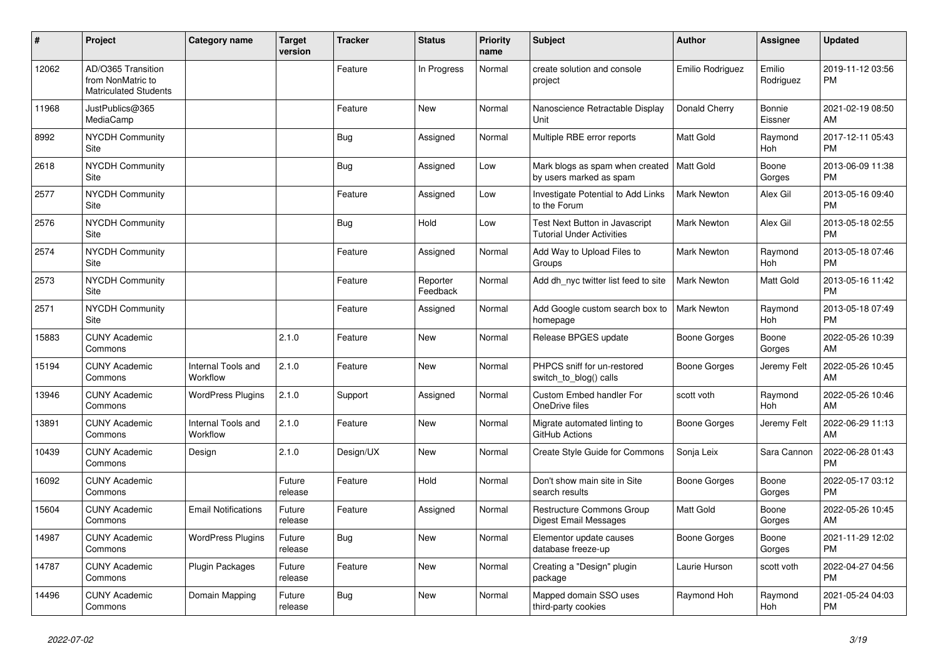| #     | Project                                                                 | <b>Category name</b>           | <b>Target</b><br>version | <b>Tracker</b> | <b>Status</b>        | <b>Priority</b><br>name | <b>Subject</b>                                                         | <b>Author</b>      | Assignee            | <b>Updated</b>                |
|-------|-------------------------------------------------------------------------|--------------------------------|--------------------------|----------------|----------------------|-------------------------|------------------------------------------------------------------------|--------------------|---------------------|-------------------------------|
| 12062 | AD/O365 Transition<br>from NonMatric to<br><b>Matriculated Students</b> |                                |                          | Feature        | In Progress          | Normal                  | create solution and console<br>project                                 | Emilio Rodriguez   | Emilio<br>Rodriguez | 2019-11-12 03:56<br><b>PM</b> |
| 11968 | JustPublics@365<br>MediaCamp                                            |                                |                          | Feature        | <b>New</b>           | Normal                  | Nanoscience Retractable Display<br>Unit                                | Donald Cherry      | Bonnie<br>Eissner   | 2021-02-19 08:50<br>AM        |
| 8992  | <b>NYCDH Community</b><br>Site                                          |                                |                          | Bug            | Assigned             | Normal                  | Multiple RBE error reports                                             | <b>Matt Gold</b>   | Raymond<br>Hoh      | 2017-12-11 05:43<br><b>PM</b> |
| 2618  | <b>NYCDH Community</b><br>Site                                          |                                |                          | Bug            | Assigned             | Low                     | Mark blogs as spam when created   Matt Gold<br>by users marked as spam |                    | Boone<br>Gorges     | 2013-06-09 11:38<br><b>PM</b> |
| 2577  | <b>NYCDH Community</b><br>Site                                          |                                |                          | Feature        | Assigned             | Low                     | Investigate Potential to Add Links<br>to the Forum                     | <b>Mark Newton</b> | Alex Gil            | 2013-05-16 09:40<br><b>PM</b> |
| 2576  | NYCDH Community<br>Site                                                 |                                |                          | <b>Bug</b>     | Hold                 | Low                     | Test Next Button in Javascript<br><b>Tutorial Under Activities</b>     | <b>Mark Newton</b> | Alex Gil            | 2013-05-18 02:55<br><b>PM</b> |
| 2574  | NYCDH Community<br>Site                                                 |                                |                          | Feature        | Assigned             | Normal                  | Add Way to Upload Files to<br>Groups                                   | <b>Mark Newton</b> | Raymond<br>Hoh      | 2013-05-18 07:46<br><b>PM</b> |
| 2573  | NYCDH Community<br><b>Site</b>                                          |                                |                          | Feature        | Reporter<br>Feedback | Normal                  | Add dh_nyc twitter list feed to site                                   | <b>Mark Newton</b> | Matt Gold           | 2013-05-16 11:42<br><b>PM</b> |
| 2571  | NYCDH Community<br>Site                                                 |                                |                          | Feature        | Assigned             | Normal                  | Add Google custom search box to<br>homepage                            | <b>Mark Newton</b> | Raymond<br>Hoh      | 2013-05-18 07:49<br><b>PM</b> |
| 15883 | <b>CUNY Academic</b><br>Commons                                         |                                | 2.1.0                    | Feature        | <b>New</b>           | Normal                  | Release BPGES update                                                   | Boone Gorges       | Boone<br>Gorges     | 2022-05-26 10:39<br>AM        |
| 15194 | <b>CUNY Academic</b><br>Commons                                         | Internal Tools and<br>Workflow | 2.1.0                    | Feature        | New                  | Normal                  | PHPCS sniff for un-restored<br>switch to blog() calls                  | Boone Gorges       | Jeremy Felt         | 2022-05-26 10:45<br>AM        |
| 13946 | <b>CUNY Academic</b><br>Commons                                         | <b>WordPress Plugins</b>       | 2.1.0                    | Support        | Assigned             | Normal                  | Custom Embed handler For<br>OneDrive files                             | scott voth         | Raymond<br>Hoh      | 2022-05-26 10:46<br>AM        |
| 13891 | <b>CUNY Academic</b><br>Commons                                         | Internal Tools and<br>Workflow | 2.1.0                    | Feature        | <b>New</b>           | Normal                  | Migrate automated linting to<br>GitHub Actions                         | Boone Gorges       | Jeremy Felt         | 2022-06-29 11:13<br>AM        |
| 10439 | <b>CUNY Academic</b><br>Commons                                         | Design                         | 2.1.0                    | Design/UX      | <b>New</b>           | Normal                  | Create Style Guide for Commons                                         | Sonja Leix         | Sara Cannon         | 2022-06-28 01:43<br><b>PM</b> |
| 16092 | <b>CUNY Academic</b><br>Commons                                         |                                | Future<br>release        | Feature        | Hold                 | Normal                  | Don't show main site in Site<br>search results                         | Boone Gorges       | Boone<br>Gorges     | 2022-05-17 03:12<br><b>PM</b> |
| 15604 | <b>CUNY Academic</b><br>Commons                                         | <b>Email Notifications</b>     | Future<br>release        | Feature        | Assigned             | Normal                  | <b>Restructure Commons Group</b><br>Digest Email Messages              | Matt Gold          | Boone<br>Gorges     | 2022-05-26 10:45<br>AM        |
| 14987 | <b>CUNY Academic</b><br>Commons                                         | <b>WordPress Plugins</b>       | Future<br>release        | Bug            | <b>New</b>           | Normal                  | Elementor update causes<br>database freeze-up                          | Boone Gorges       | Boone<br>Gorges     | 2021-11-29 12:02<br><b>PM</b> |
| 14787 | <b>CUNY Academic</b><br>Commons                                         | <b>Plugin Packages</b>         | Future<br>release        | Feature        | New                  | Normal                  | Creating a "Design" plugin<br>package                                  | Laurie Hurson      | scott voth          | 2022-04-27 04:56<br><b>PM</b> |
| 14496 | <b>CUNY Academic</b><br>Commons                                         | Domain Mapping                 | Future<br>release        | Bug            | <b>New</b>           | Normal                  | Mapped domain SSO uses<br>third-party cookies                          | Raymond Hoh        | Raymond<br>Hoh      | 2021-05-24 04:03<br><b>PM</b> |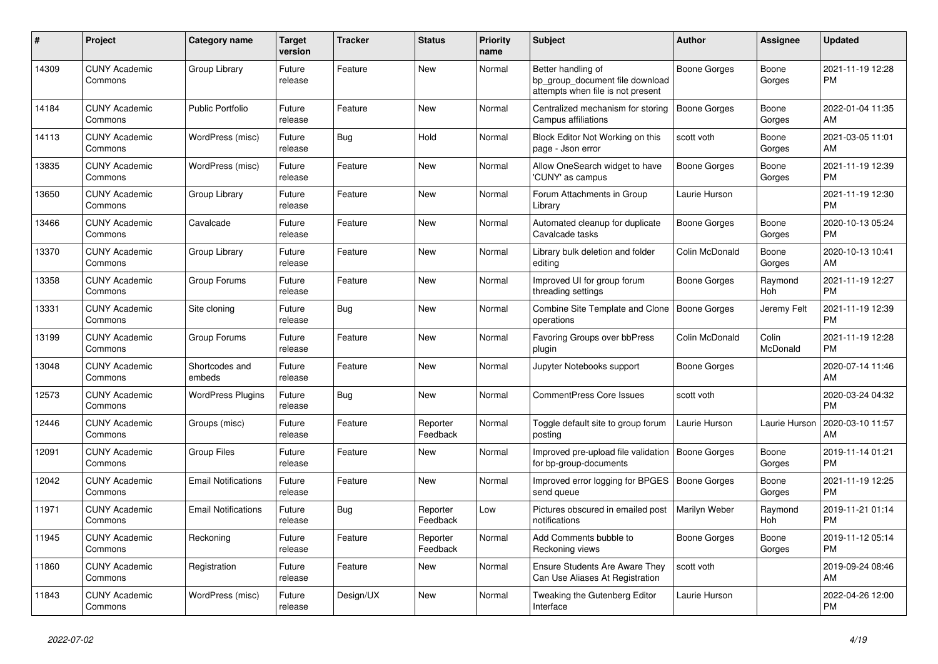| #     | <b>Project</b>                  | Category name              | <b>Target</b><br>version | <b>Tracker</b> | <b>Status</b>        | <b>Priority</b><br>name | <b>Subject</b>                                                                             | <b>Author</b>       | Assignee          | <b>Updated</b>                |
|-------|---------------------------------|----------------------------|--------------------------|----------------|----------------------|-------------------------|--------------------------------------------------------------------------------------------|---------------------|-------------------|-------------------------------|
| 14309 | <b>CUNY Academic</b><br>Commons | Group Library              | Future<br>release        | Feature        | New                  | Normal                  | Better handling of<br>bp_group_document file download<br>attempts when file is not present | Boone Gorges        | Boone<br>Gorges   | 2021-11-19 12:28<br><b>PM</b> |
| 14184 | <b>CUNY Academic</b><br>Commons | <b>Public Portfolio</b>    | Future<br>release        | Feature        | New                  | Normal                  | Centralized mechanism for storing<br>Campus affiliations                                   | <b>Boone Gorges</b> | Boone<br>Gorges   | 2022-01-04 11:35<br>AM        |
| 14113 | <b>CUNY Academic</b><br>Commons | WordPress (misc)           | Future<br>release        | Bug            | Hold                 | Normal                  | Block Editor Not Working on this<br>page - Json error                                      | scott voth          | Boone<br>Gorges   | 2021-03-05 11:01<br>AM        |
| 13835 | <b>CUNY Academic</b><br>Commons | WordPress (misc)           | Future<br>release        | Feature        | <b>New</b>           | Normal                  | Allow OneSearch widget to have<br>'CUNY' as campus                                         | Boone Gorges        | Boone<br>Gorges   | 2021-11-19 12:39<br><b>PM</b> |
| 13650 | <b>CUNY Academic</b><br>Commons | Group Library              | Future<br>release        | Feature        | New                  | Normal                  | Forum Attachments in Group<br>Library                                                      | Laurie Hurson       |                   | 2021-11-19 12:30<br><b>PM</b> |
| 13466 | <b>CUNY Academic</b><br>Commons | Cavalcade                  | Future<br>release        | Feature        | <b>New</b>           | Normal                  | Automated cleanup for duplicate<br>Cavalcade tasks                                         | Boone Gorges        | Boone<br>Gorges   | 2020-10-13 05:24<br><b>PM</b> |
| 13370 | <b>CUNY Academic</b><br>Commons | Group Library              | Future<br>release        | Feature        | <b>New</b>           | Normal                  | Library bulk deletion and folder<br>editing                                                | Colin McDonald      | Boone<br>Gorges   | 2020-10-13 10:41<br>AM        |
| 13358 | <b>CUNY Academic</b><br>Commons | Group Forums               | Future<br>release        | Feature        | New                  | Normal                  | Improved UI for group forum<br>threading settings                                          | Boone Gorges        | Raymond<br>Hoh    | 2021-11-19 12:27<br><b>PM</b> |
| 13331 | <b>CUNY Academic</b><br>Commons | Site cloning               | Future<br>release        | <b>Bug</b>     | New                  | Normal                  | Combine Site Template and Clone   Boone Gorges<br>operations                               |                     | Jeremy Felt       | 2021-11-19 12:39<br><b>PM</b> |
| 13199 | <b>CUNY Academic</b><br>Commons | Group Forums               | Future<br>release        | Feature        | <b>New</b>           | Normal                  | Favoring Groups over bbPress<br>plugin                                                     | Colin McDonald      | Colin<br>McDonald | 2021-11-19 12:28<br><b>PM</b> |
| 13048 | <b>CUNY Academic</b><br>Commons | Shortcodes and<br>embeds   | Future<br>release        | Feature        | New                  | Normal                  | Jupyter Notebooks support                                                                  | Boone Gorges        |                   | 2020-07-14 11:46<br>AM        |
| 12573 | <b>CUNY Academic</b><br>Commons | <b>WordPress Plugins</b>   | Future<br>release        | Bug            | New                  | Normal                  | <b>CommentPress Core Issues</b>                                                            | scott voth          |                   | 2020-03-24 04:32<br><b>PM</b> |
| 12446 | <b>CUNY Academic</b><br>Commons | Groups (misc)              | Future<br>release        | Feature        | Reporter<br>Feedback | Normal                  | Toggle default site to group forum<br>posting                                              | Laurie Hurson       | Laurie Hurson     | 2020-03-10 11:57<br>AM        |
| 12091 | <b>CUNY Academic</b><br>Commons | Group Files                | Future<br>release        | Feature        | New                  | Normal                  | Improved pre-upload file validation<br>for bp-group-documents                              | Boone Gorges        | Boone<br>Gorges   | 2019-11-14 01:21<br><b>PM</b> |
| 12042 | <b>CUNY Academic</b><br>Commons | <b>Email Notifications</b> | Future<br>release        | Feature        | New                  | Normal                  | Improved error logging for BPGES<br>send queue                                             | Boone Gorges        | Boone<br>Gorges   | 2021-11-19 12:25<br><b>PM</b> |
| 11971 | <b>CUNY Academic</b><br>Commons | <b>Email Notifications</b> | Future<br>release        | <b>Bug</b>     | Reporter<br>Feedback | Low                     | Pictures obscured in emailed post<br>notifications                                         | Marilyn Weber       | Raymond<br>Hoh    | 2019-11-21 01:14<br><b>PM</b> |
| 11945 | <b>CUNY Academic</b><br>Commons | Reckoning                  | Future<br>release        | Feature        | Reporter<br>Feedback | Normal                  | Add Comments bubble to<br>Reckoning views                                                  | Boone Gorges        | Boone<br>Gorges   | 2019-11-12 05:14<br><b>PM</b> |
| 11860 | <b>CUNY Academic</b><br>Commons | Registration               | Future<br>release        | Feature        | New                  | Normal                  | <b>Ensure Students Are Aware They</b><br>Can Use Aliases At Registration                   | scott voth          |                   | 2019-09-24 08:46<br>AM        |
| 11843 | <b>CUNY Academic</b><br>Commons | WordPress (misc)           | Future<br>release        | Design/UX      | <b>New</b>           | Normal                  | Tweaking the Gutenberg Editor<br>Interface                                                 | Laurie Hurson       |                   | 2022-04-26 12:00<br><b>PM</b> |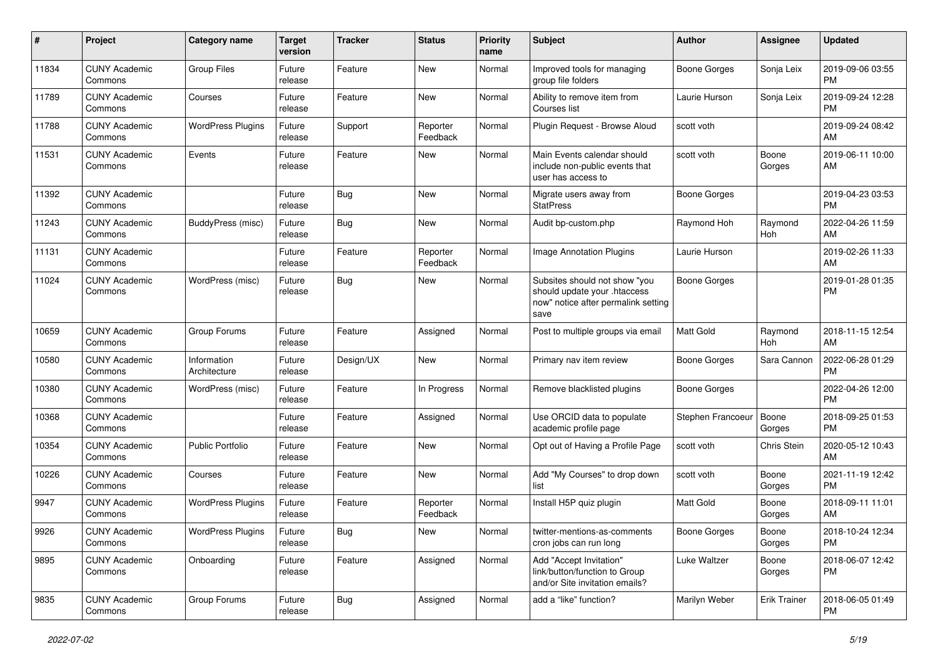| #     | Project                         | <b>Category name</b>        | <b>Target</b><br>version | <b>Tracker</b> | <b>Status</b>        | Priority<br>name | <b>Subject</b>                                                                                               | Author              | <b>Assignee</b>     | <b>Updated</b>                |
|-------|---------------------------------|-----------------------------|--------------------------|----------------|----------------------|------------------|--------------------------------------------------------------------------------------------------------------|---------------------|---------------------|-------------------------------|
| 11834 | <b>CUNY Academic</b><br>Commons | <b>Group Files</b>          | Future<br>release        | Feature        | <b>New</b>           | Normal           | Improved tools for managing<br>group file folders                                                            | <b>Boone Gorges</b> | Sonja Leix          | 2019-09-06 03:55<br><b>PM</b> |
| 11789 | <b>CUNY Academic</b><br>Commons | Courses                     | Future<br>release        | Feature        | New                  | Normal           | Ability to remove item from<br>Courses list                                                                  | Laurie Hurson       | Sonja Leix          | 2019-09-24 12:28<br><b>PM</b> |
| 11788 | <b>CUNY Academic</b><br>Commons | <b>WordPress Plugins</b>    | Future<br>release        | Support        | Reporter<br>Feedback | Normal           | Plugin Request - Browse Aloud                                                                                | scott voth          |                     | 2019-09-24 08:42<br>AM        |
| 11531 | <b>CUNY Academic</b><br>Commons | Events                      | Future<br>release        | Feature        | New                  | Normal           | Main Events calendar should<br>include non-public events that<br>user has access to                          | scott voth          | Boone<br>Gorges     | 2019-06-11 10:00<br>AM        |
| 11392 | <b>CUNY Academic</b><br>Commons |                             | Future<br>release        | Bug            | <b>New</b>           | Normal           | Migrate users away from<br><b>StatPress</b>                                                                  | Boone Gorges        |                     | 2019-04-23 03:53<br><b>PM</b> |
| 11243 | <b>CUNY Academic</b><br>Commons | BuddyPress (misc)           | Future<br>release        | Bug            | <b>New</b>           | Normal           | Audit bp-custom.php                                                                                          | Raymond Hoh         | Raymond<br>Hoh      | 2022-04-26 11:59<br>AM        |
| 11131 | <b>CUNY Academic</b><br>Commons |                             | Future<br>release        | Feature        | Reporter<br>Feedback | Normal           | <b>Image Annotation Plugins</b>                                                                              | Laurie Hurson       |                     | 2019-02-26 11:33<br>AM        |
| 11024 | <b>CUNY Academic</b><br>Commons | WordPress (misc)            | Future<br>release        | Bug            | New                  | Normal           | Subsites should not show "you<br>should update your .htaccess<br>now" notice after permalink setting<br>save | Boone Gorges        |                     | 2019-01-28 01:35<br><b>PM</b> |
| 10659 | <b>CUNY Academic</b><br>Commons | Group Forums                | Future<br>release        | Feature        | Assigned             | Normal           | Post to multiple groups via email                                                                            | <b>Matt Gold</b>    | Raymond<br>Hoh      | 2018-11-15 12:54<br>AM        |
| 10580 | <b>CUNY Academic</b><br>Commons | Information<br>Architecture | Future<br>release        | Design/UX      | <b>New</b>           | Normal           | Primary nav item review                                                                                      | <b>Boone Gorges</b> | Sara Cannon         | 2022-06-28 01:29<br><b>PM</b> |
| 10380 | <b>CUNY Academic</b><br>Commons | WordPress (misc)            | Future<br>release        | Feature        | In Progress          | Normal           | Remove blacklisted plugins                                                                                   | <b>Boone Gorges</b> |                     | 2022-04-26 12:00<br><b>PM</b> |
| 10368 | <b>CUNY Academic</b><br>Commons |                             | Future<br>release        | Feature        | Assigned             | Normal           | Use ORCID data to populate<br>academic profile page                                                          | Stephen Francoeur   | Boone<br>Gorges     | 2018-09-25 01:53<br><b>PM</b> |
| 10354 | <b>CUNY Academic</b><br>Commons | <b>Public Portfolio</b>     | Future<br>release        | Feature        | New                  | Normal           | Opt out of Having a Profile Page                                                                             | scott voth          | Chris Stein         | 2020-05-12 10:43<br>AM        |
| 10226 | <b>CUNY Academic</b><br>Commons | Courses                     | Future<br>release        | Feature        | <b>New</b>           | Normal           | Add "My Courses" to drop down<br>list                                                                        | scott voth          | Boone<br>Gorges     | 2021-11-19 12:42<br><b>PM</b> |
| 9947  | <b>CUNY Academic</b><br>Commons | <b>WordPress Plugins</b>    | Future<br>release        | Feature        | Reporter<br>Feedback | Normal           | Install H5P quiz plugin                                                                                      | <b>Matt Gold</b>    | Boone<br>Gorges     | 2018-09-11 11:01<br>AM        |
| 9926  | <b>CUNY Academic</b><br>Commons | <b>WordPress Plugins</b>    | Future<br>release        | Bug            | New                  | Normal           | twitter-mentions-as-comments<br>cron jobs can run long                                                       | Boone Gorges        | Boone<br>Gorges     | 2018-10-24 12:34<br><b>PM</b> |
| 9895  | <b>CUNY Academic</b><br>Commons | Onboarding                  | Future<br>release        | Feature        | Assigned             | Normal           | Add "Accept Invitation"<br>link/button/function to Group<br>and/or Site invitation emails?                   | Luke Waltzer        | Boone<br>Gorges     | 2018-06-07 12:42<br><b>PM</b> |
| 9835  | <b>CUNY Academic</b><br>Commons | Group Forums                | Future<br>release        | Bug            | Assigned             | Normal           | add a "like" function?                                                                                       | Marilyn Weber       | <b>Erik Trainer</b> | 2018-06-05 01:49<br><b>PM</b> |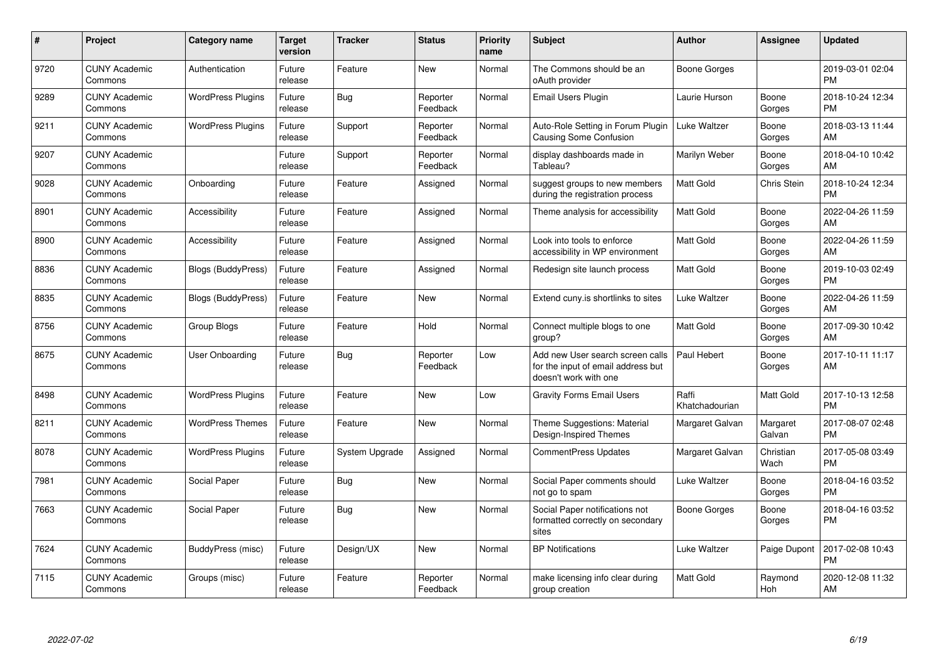| #    | Project                         | <b>Category name</b>      | <b>Target</b><br>version | <b>Tracker</b> | <b>Status</b>        | <b>Priority</b><br>name | <b>Subject</b>                                                                                  | <b>Author</b>           | <b>Assignee</b>    | <b>Updated</b>                |
|------|---------------------------------|---------------------------|--------------------------|----------------|----------------------|-------------------------|-------------------------------------------------------------------------------------------------|-------------------------|--------------------|-------------------------------|
| 9720 | <b>CUNY Academic</b><br>Commons | Authentication            | Future<br>release        | Feature        | <b>New</b>           | Normal                  | The Commons should be an<br>oAuth provider                                                      | Boone Gorges            |                    | 2019-03-01 02:04<br><b>PM</b> |
| 9289 | <b>CUNY Academic</b><br>Commons | <b>WordPress Plugins</b>  | Future<br>release        | <b>Bug</b>     | Reporter<br>Feedback | Normal                  | <b>Email Users Plugin</b>                                                                       | Laurie Hurson           | Boone<br>Gorges    | 2018-10-24 12:34<br><b>PM</b> |
| 9211 | <b>CUNY Academic</b><br>Commons | <b>WordPress Plugins</b>  | Future<br>release        | Support        | Reporter<br>Feedback | Normal                  | Auto-Role Setting in Forum Plugin<br>Causing Some Confusion                                     | Luke Waltzer            | Boone<br>Gorges    | 2018-03-13 11:44<br>AM        |
| 9207 | <b>CUNY Academic</b><br>Commons |                           | Future<br>release        | Support        | Reporter<br>Feedback | Normal                  | display dashboards made in<br>Tableau?                                                          | Marilyn Weber           | Boone<br>Gorges    | 2018-04-10 10:42<br>AM        |
| 9028 | <b>CUNY Academic</b><br>Commons | Onboarding                | Future<br>release        | Feature        | Assigned             | Normal                  | suggest groups to new members<br>during the registration process                                | <b>Matt Gold</b>        | Chris Stein        | 2018-10-24 12:34<br><b>PM</b> |
| 8901 | <b>CUNY Academic</b><br>Commons | Accessibility             | Future<br>release        | Feature        | Assigned             | Normal                  | Theme analysis for accessibility                                                                | <b>Matt Gold</b>        | Boone<br>Gorges    | 2022-04-26 11:59<br>AM        |
| 8900 | <b>CUNY Academic</b><br>Commons | Accessibility             | Future<br>release        | Feature        | Assigned             | Normal                  | Look into tools to enforce<br>accessibility in WP environment                                   | Matt Gold               | Boone<br>Gorges    | 2022-04-26 11:59<br>AM        |
| 8836 | <b>CUNY Academic</b><br>Commons | <b>Blogs (BuddyPress)</b> | Future<br>release        | Feature        | Assigned             | Normal                  | Redesign site launch process                                                                    | Matt Gold               | Boone<br>Gorges    | 2019-10-03 02:49<br><b>PM</b> |
| 8835 | <b>CUNY Academic</b><br>Commons | Blogs (BuddyPress)        | Future<br>release        | Feature        | New                  | Normal                  | Extend cuny is shortlinks to sites                                                              | Luke Waltzer            | Boone<br>Gorges    | 2022-04-26 11:59<br>AM        |
| 8756 | <b>CUNY Academic</b><br>Commons | Group Blogs               | Future<br>release        | Feature        | Hold                 | Normal                  | Connect multiple blogs to one<br>group?                                                         | Matt Gold               | Boone<br>Gorges    | 2017-09-30 10:42<br>AM        |
| 8675 | <b>CUNY Academic</b><br>Commons | User Onboarding           | Future<br>release        | Bug            | Reporter<br>Feedback | Low                     | Add new User search screen calls<br>for the input of email address but<br>doesn't work with one | Paul Hebert             | Boone<br>Gorges    | 2017-10-11 11:17<br>AM        |
| 8498 | <b>CUNY Academic</b><br>Commons | <b>WordPress Plugins</b>  | Future<br>release        | Feature        | New                  | Low                     | Gravity Forms Email Users                                                                       | Raffi<br>Khatchadourian | <b>Matt Gold</b>   | 2017-10-13 12:58<br><b>PM</b> |
| 8211 | <b>CUNY Academic</b><br>Commons | <b>WordPress Themes</b>   | Future<br>release        | Feature        | New                  | Normal                  | Theme Suggestions: Material<br>Design-Inspired Themes                                           | Margaret Galvan         | Margaret<br>Galvan | 2017-08-07 02:48<br><b>PM</b> |
| 8078 | <b>CUNY Academic</b><br>Commons | <b>WordPress Plugins</b>  | Future<br>release        | System Upgrade | Assigned             | Normal                  | <b>CommentPress Updates</b>                                                                     | Margaret Galvan         | Christian<br>Wach  | 2017-05-08 03:49<br><b>PM</b> |
| 7981 | <b>CUNY Academic</b><br>Commons | Social Paper              | Future<br>release        | <b>Bug</b>     | <b>New</b>           | Normal                  | Social Paper comments should<br>not go to spam                                                  | Luke Waltzer            | Boone<br>Gorges    | 2018-04-16 03:52<br><b>PM</b> |
| 7663 | <b>CUNY Academic</b><br>Commons | Social Paper              | Future<br>release        | <b>Bug</b>     | <b>New</b>           | Normal                  | Social Paper notifications not<br>formatted correctly on secondary<br>sites                     | <b>Boone Gorges</b>     | Boone<br>Gorges    | 2018-04-16 03:52<br><b>PM</b> |
| 7624 | <b>CUNY Academic</b><br>Commons | BuddyPress (misc)         | Future<br>release        | Design/UX      | New                  | Normal                  | <b>BP</b> Notifications                                                                         | Luke Waltzer            | Paige Dupont       | 2017-02-08 10:43<br><b>PM</b> |
| 7115 | <b>CUNY Academic</b><br>Commons | Groups (misc)             | Future<br>release        | Feature        | Reporter<br>Feedback | Normal                  | make licensing info clear during<br>group creation                                              | Matt Gold               | Raymond<br>Hoh     | 2020-12-08 11:32<br>AM        |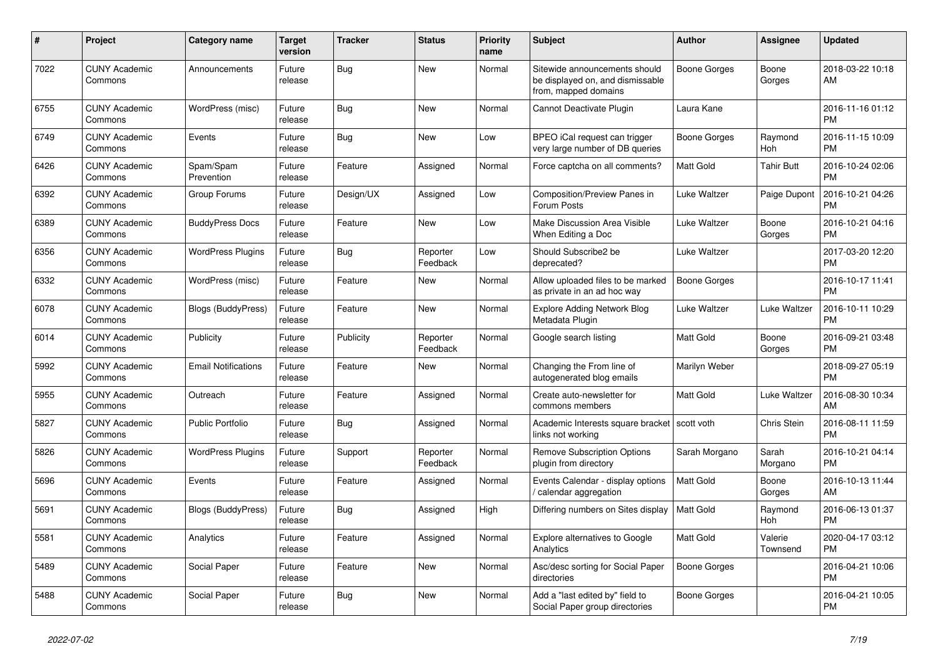| #    | Project                         | <b>Category name</b>       | <b>Target</b><br>version | <b>Tracker</b> | <b>Status</b>        | <b>Priority</b><br>name | <b>Subject</b>                                                                            | <b>Author</b>       | <b>Assignee</b>     | <b>Updated</b>                |
|------|---------------------------------|----------------------------|--------------------------|----------------|----------------------|-------------------------|-------------------------------------------------------------------------------------------|---------------------|---------------------|-------------------------------|
| 7022 | <b>CUNY Academic</b><br>Commons | Announcements              | Future<br>release        | <b>Bug</b>     | New                  | Normal                  | Sitewide announcements should<br>be displayed on, and dismissable<br>from, mapped domains | Boone Gorges        | Boone<br>Gorges     | 2018-03-22 10:18<br>AM        |
| 6755 | <b>CUNY Academic</b><br>Commons | WordPress (misc)           | Future<br>release        | Bug            | New                  | Normal                  | Cannot Deactivate Plugin                                                                  | Laura Kane          |                     | 2016-11-16 01:12<br><b>PM</b> |
| 6749 | <b>CUNY Academic</b><br>Commons | Events                     | Future<br>release        | <b>Bug</b>     | <b>New</b>           | Low                     | BPEO iCal request can trigger<br>very large number of DB queries                          | Boone Gorges        | Raymond<br>Hoh      | 2016-11-15 10:09<br><b>PM</b> |
| 6426 | <b>CUNY Academic</b><br>Commons | Spam/Spam<br>Prevention    | Future<br>release        | Feature        | Assigned             | Normal                  | Force captcha on all comments?                                                            | <b>Matt Gold</b>    | <b>Tahir Butt</b>   | 2016-10-24 02:06<br><b>PM</b> |
| 6392 | <b>CUNY Academic</b><br>Commons | Group Forums               | Future<br>release        | Design/UX      | Assigned             | Low                     | Composition/Preview Panes in<br>Forum Posts                                               | Luke Waltzer        | Paige Dupont        | 2016-10-21 04:26<br><b>PM</b> |
| 6389 | <b>CUNY Academic</b><br>Commons | <b>BuddyPress Docs</b>     | Future<br>release        | Feature        | <b>New</b>           | Low                     | Make Discussion Area Visible<br>When Editing a Doc                                        | Luke Waltzer        | Boone<br>Gorges     | 2016-10-21 04:16<br><b>PM</b> |
| 6356 | <b>CUNY Academic</b><br>Commons | <b>WordPress Plugins</b>   | Future<br>release        | <b>Bug</b>     | Reporter<br>Feedback | Low                     | Should Subscribe2 be<br>deprecated?                                                       | Luke Waltzer        |                     | 2017-03-20 12:20<br><b>PM</b> |
| 6332 | <b>CUNY Academic</b><br>Commons | WordPress (misc)           | Future<br>release        | Feature        | New                  | Normal                  | Allow uploaded files to be marked<br>as private in an ad hoc way                          | Boone Gorges        |                     | 2016-10-17 11:41<br><b>PM</b> |
| 6078 | <b>CUNY Academic</b><br>Commons | <b>Blogs (BuddyPress)</b>  | Future<br>release        | Feature        | <b>New</b>           | Normal                  | <b>Explore Adding Network Blog</b><br>Metadata Plugin                                     | Luke Waltzer        | Luke Waltzer        | 2016-10-11 10:29<br><b>PM</b> |
| 6014 | <b>CUNY Academic</b><br>Commons | Publicity                  | Future<br>release        | Publicity      | Reporter<br>Feedback | Normal                  | Google search listing                                                                     | <b>Matt Gold</b>    | Boone<br>Gorges     | 2016-09-21 03:48<br><b>PM</b> |
| 5992 | <b>CUNY Academic</b><br>Commons | <b>Email Notifications</b> | Future<br>release        | Feature        | New                  | Normal                  | Changing the From line of<br>autogenerated blog emails                                    | Marilyn Weber       |                     | 2018-09-27 05:19<br><b>PM</b> |
| 5955 | <b>CUNY Academic</b><br>Commons | Outreach                   | Future<br>release        | Feature        | Assigned             | Normal                  | Create auto-newsletter for<br>commons members                                             | <b>Matt Gold</b>    | Luke Waltzer        | 2016-08-30 10:34<br>AM        |
| 5827 | <b>CUNY Academic</b><br>Commons | <b>Public Portfolio</b>    | Future<br>release        | Bug            | Assigned             | Normal                  | Academic Interests square bracket<br>links not working                                    | scott voth          | <b>Chris Stein</b>  | 2016-08-11 11:59<br><b>PM</b> |
| 5826 | <b>CUNY Academic</b><br>Commons | <b>WordPress Plugins</b>   | Future<br>release        | Support        | Reporter<br>Feedback | Normal                  | <b>Remove Subscription Options</b><br>plugin from directory                               | Sarah Morgano       | Sarah<br>Morgano    | 2016-10-21 04:14<br><b>PM</b> |
| 5696 | <b>CUNY Academic</b><br>Commons | Events                     | Future<br>release        | Feature        | Assigned             | Normal                  | Events Calendar - display options<br>/ calendar aggregation                               | <b>Matt Gold</b>    | Boone<br>Gorges     | 2016-10-13 11:44<br>AM        |
| 5691 | <b>CUNY Academic</b><br>Commons | Blogs (BuddyPress)         | Future<br>release        | Bug            | Assigned             | High                    | Differing numbers on Sites display                                                        | <b>Matt Gold</b>    | Raymond<br>Hoh      | 2016-06-13 01:37<br><b>PM</b> |
| 5581 | <b>CUNY Academic</b><br>Commons | Analytics                  | Future<br>release        | Feature        | Assigned             | Normal                  | Explore alternatives to Google<br>Analytics                                               | <b>Matt Gold</b>    | Valerie<br>Townsend | 2020-04-17 03:12<br><b>PM</b> |
| 5489 | <b>CUNY Academic</b><br>Commons | Social Paper               | Future<br>release        | Feature        | New                  | Normal                  | Asc/desc sorting for Social Paper<br>directories                                          | <b>Boone Gorges</b> |                     | 2016-04-21 10:06<br><b>PM</b> |
| 5488 | <b>CUNY Academic</b><br>Commons | Social Paper               | Future<br>release        | Bug            | <b>New</b>           | Normal                  | Add a "last edited by" field to<br>Social Paper group directories                         | Boone Gorges        |                     | 2016-04-21 10:05<br><b>PM</b> |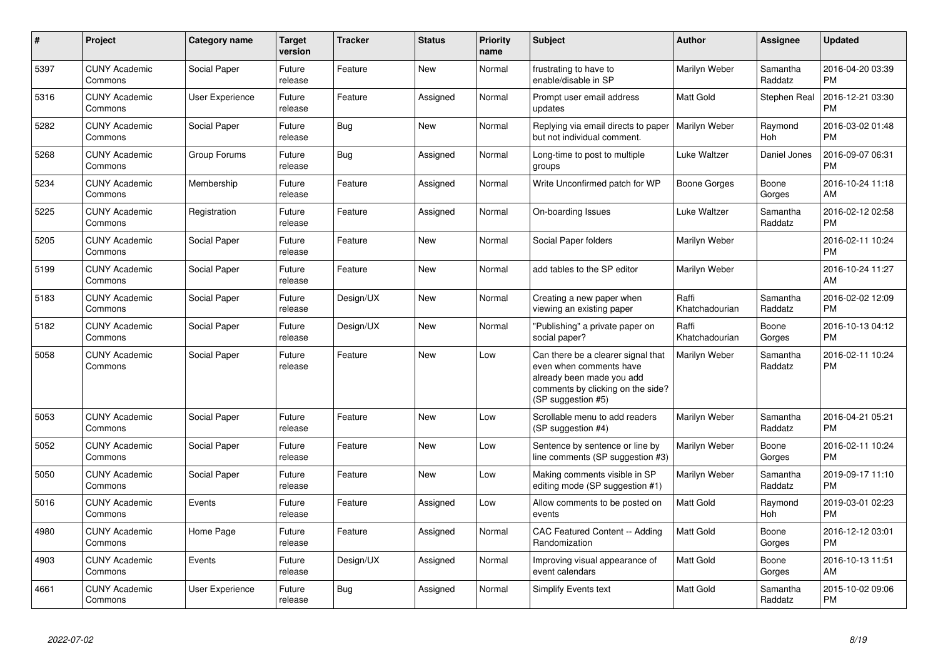| $\pmb{\#}$ | Project                         | <b>Category name</b> | <b>Target</b><br>version | <b>Tracker</b> | <b>Status</b> | <b>Priority</b><br>name | <b>Subject</b>                                                                                                                                        | <b>Author</b>           | Assignee            | <b>Updated</b>                |
|------------|---------------------------------|----------------------|--------------------------|----------------|---------------|-------------------------|-------------------------------------------------------------------------------------------------------------------------------------------------------|-------------------------|---------------------|-------------------------------|
| 5397       | <b>CUNY Academic</b><br>Commons | Social Paper         | Future<br>release        | Feature        | <b>New</b>    | Normal                  | frustrating to have to<br>enable/disable in SP                                                                                                        | Marilyn Weber           | Samantha<br>Raddatz | 2016-04-20 03:39<br><b>PM</b> |
| 5316       | <b>CUNY Academic</b><br>Commons | User Experience      | Future<br>release        | Feature        | Assigned      | Normal                  | Prompt user email address<br>updates                                                                                                                  | Matt Gold               | Stephen Real        | 2016-12-21 03:30<br><b>PM</b> |
| 5282       | <b>CUNY Academic</b><br>Commons | Social Paper         | Future<br>release        | <b>Bug</b>     | New           | Normal                  | Replying via email directs to paper<br>but not individual comment.                                                                                    | Marilyn Weber           | Raymond<br>Hoh      | 2016-03-02 01:48<br><b>PM</b> |
| 5268       | <b>CUNY Academic</b><br>Commons | Group Forums         | Future<br>release        | Bug            | Assigned      | Normal                  | Long-time to post to multiple<br>groups                                                                                                               | Luke Waltzer            | Daniel Jones        | 2016-09-07 06:31<br><b>PM</b> |
| 5234       | <b>CUNY Academic</b><br>Commons | Membership           | Future<br>release        | Feature        | Assigned      | Normal                  | Write Unconfirmed patch for WP                                                                                                                        | Boone Gorges            | Boone<br>Gorges     | 2016-10-24 11:18<br>AM        |
| 5225       | <b>CUNY Academic</b><br>Commons | Registration         | Future<br>release        | Feature        | Assigned      | Normal                  | On-boarding Issues                                                                                                                                    | Luke Waltzer            | Samantha<br>Raddatz | 2016-02-12 02:58<br><b>PM</b> |
| 5205       | <b>CUNY Academic</b><br>Commons | Social Paper         | Future<br>release        | Feature        | <b>New</b>    | Normal                  | Social Paper folders                                                                                                                                  | Marilyn Weber           |                     | 2016-02-11 10:24<br><b>PM</b> |
| 5199       | <b>CUNY Academic</b><br>Commons | Social Paper         | Future<br>release        | Feature        | New           | Normal                  | add tables to the SP editor                                                                                                                           | Marilyn Weber           |                     | 2016-10-24 11:27<br>AM        |
| 5183       | <b>CUNY Academic</b><br>Commons | Social Paper         | Future<br>release        | Design/UX      | New           | Normal                  | Creating a new paper when<br>viewing an existing paper                                                                                                | Raffi<br>Khatchadourian | Samantha<br>Raddatz | 2016-02-02 12:09<br><b>PM</b> |
| 5182       | <b>CUNY Academic</b><br>Commons | Social Paper         | Future<br>release        | Design/UX      | New           | Normal                  | "Publishing" a private paper on<br>social paper?                                                                                                      | Raffi<br>Khatchadourian | Boone<br>Gorges     | 2016-10-13 04:12<br><b>PM</b> |
| 5058       | <b>CUNY Academic</b><br>Commons | Social Paper         | Future<br>release        | Feature        | New           | Low                     | Can there be a clearer signal that<br>even when comments have<br>already been made you add<br>comments by clicking on the side?<br>(SP suggestion #5) | Marilyn Weber           | Samantha<br>Raddatz | 2016-02-11 10:24<br><b>PM</b> |
| 5053       | <b>CUNY Academic</b><br>Commons | Social Paper         | Future<br>release        | Feature        | New           | Low                     | Scrollable menu to add readers<br>(SP suggestion #4)                                                                                                  | Marilyn Weber           | Samantha<br>Raddatz | 2016-04-21 05:21<br><b>PM</b> |
| 5052       | <b>CUNY Academic</b><br>Commons | Social Paper         | Future<br>release        | Feature        | New           | Low                     | Sentence by sentence or line by<br>line comments (SP suggestion #3)                                                                                   | Marilyn Weber           | Boone<br>Gorges     | 2016-02-11 10:24<br><b>PM</b> |
| 5050       | <b>CUNY Academic</b><br>Commons | Social Paper         | Future<br>release        | Feature        | New           | Low                     | Making comments visible in SP<br>editing mode (SP suggestion #1)                                                                                      | Marilyn Weber           | Samantha<br>Raddatz | 2019-09-17 11:10<br><b>PM</b> |
| 5016       | <b>CUNY Academic</b><br>Commons | Events               | Future<br>release        | Feature        | Assigned      | Low                     | Allow comments to be posted on<br>events                                                                                                              | <b>Matt Gold</b>        | Raymond<br>Hoh      | 2019-03-01 02:23<br><b>PM</b> |
| 4980       | <b>CUNY Academic</b><br>Commons | Home Page            | Future<br>release        | Feature        | Assigned      | Normal                  | CAC Featured Content -- Adding<br>Randomization                                                                                                       | <b>Matt Gold</b>        | Boone<br>Gorges     | 2016-12-12 03:01<br><b>PM</b> |
| 4903       | <b>CUNY Academic</b><br>Commons | Events               | Future<br>release        | Design/UX      | Assigned      | Normal                  | Improving visual appearance of<br>event calendars                                                                                                     | Matt Gold               | Boone<br>Gorges     | 2016-10-13 11:51<br>AM        |
| 4661       | <b>CUNY Academic</b><br>Commons | User Experience      | Future<br>release        | Bug            | Assigned      | Normal                  | Simplify Events text                                                                                                                                  | Matt Gold               | Samantha<br>Raddatz | 2015-10-02 09:06<br><b>PM</b> |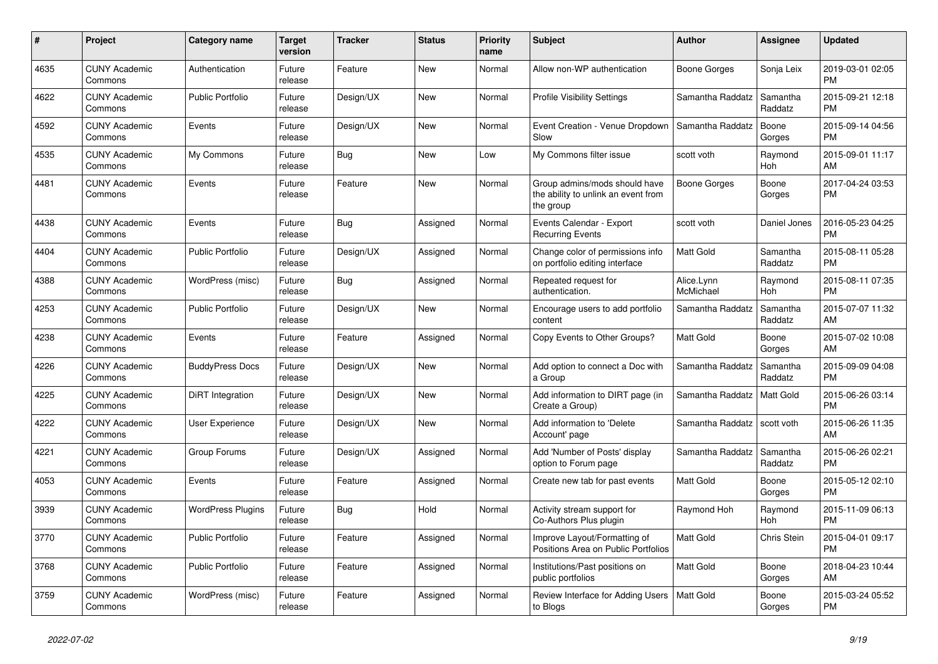| #    | <b>Project</b>                  | Category name            | <b>Target</b><br>version | <b>Tracker</b> | <b>Status</b> | <b>Priority</b><br>name | <b>Subject</b>                                                                    | <b>Author</b>           | Assignee              | <b>Updated</b>                |
|------|---------------------------------|--------------------------|--------------------------|----------------|---------------|-------------------------|-----------------------------------------------------------------------------------|-------------------------|-----------------------|-------------------------------|
| 4635 | <b>CUNY Academic</b><br>Commons | Authentication           | Future<br>release        | Feature        | New           | Normal                  | Allow non-WP authentication                                                       | Boone Gorges            | Sonja Leix            | 2019-03-01 02:05<br><b>PM</b> |
| 4622 | <b>CUNY Academic</b><br>Commons | <b>Public Portfolio</b>  | Future<br>release        | Design/UX      | New           | Normal                  | <b>Profile Visibility Settings</b>                                                | Samantha Raddatz        | Samantha<br>Raddatz   | 2015-09-21 12:18<br><b>PM</b> |
| 4592 | <b>CUNY Academic</b><br>Commons | Events                   | Future<br>release        | Design/UX      | <b>New</b>    | Normal                  | Event Creation - Venue Dropdown<br>Slow                                           | Samantha Raddatz        | Boone<br>Gorges       | 2015-09-14 04:56<br><b>PM</b> |
| 4535 | <b>CUNY Academic</b><br>Commons | My Commons               | Future<br>release        | Bug            | <b>New</b>    | Low                     | My Commons filter issue                                                           | scott voth              | Raymond<br>Hoh        | 2015-09-01 11:17<br>AM        |
| 4481 | <b>CUNY Academic</b><br>Commons | Events                   | Future<br>release        | Feature        | New           | Normal                  | Group admins/mods should have<br>the ability to unlink an event from<br>the group | Boone Gorges            | Boone<br>Gorges       | 2017-04-24 03:53<br><b>PM</b> |
| 4438 | <b>CUNY Academic</b><br>Commons | Events                   | Future<br>release        | Bug            | Assigned      | Normal                  | Events Calendar - Export<br><b>Recurring Events</b>                               | scott voth              | Daniel Jones          | 2016-05-23 04:25<br><b>PM</b> |
| 4404 | <b>CUNY Academic</b><br>Commons | <b>Public Portfolio</b>  | Future<br>release        | Design/UX      | Assigned      | Normal                  | Change color of permissions info<br>on portfolio editing interface                | <b>Matt Gold</b>        | Samantha<br>Raddatz   | 2015-08-11 05:28<br><b>PM</b> |
| 4388 | <b>CUNY Academic</b><br>Commons | WordPress (misc)         | Future<br>release        | Bug            | Assigned      | Normal                  | Repeated request for<br>authentication.                                           | Alice.Lynn<br>McMichael | Raymond<br><b>Hoh</b> | 2015-08-11 07:35<br><b>PM</b> |
| 4253 | <b>CUNY Academic</b><br>Commons | <b>Public Portfolio</b>  | Future<br>release        | Design/UX      | <b>New</b>    | Normal                  | Encourage users to add portfolio<br>content                                       | Samantha Raddatz        | Samantha<br>Raddatz   | 2015-07-07 11:32<br>AM        |
| 4238 | <b>CUNY Academic</b><br>Commons | Events                   | Future<br>release        | Feature        | Assigned      | Normal                  | Copy Events to Other Groups?                                                      | <b>Matt Gold</b>        | Boone<br>Gorges       | 2015-07-02 10:08<br>AM        |
| 4226 | <b>CUNY Academic</b><br>Commons | <b>BuddyPress Docs</b>   | Future<br>release        | Design/UX      | New           | Normal                  | Add option to connect a Doc with<br>a Group                                       | Samantha Raddatz        | Samantha<br>Raddatz   | 2015-09-09 04:08<br><b>PM</b> |
| 4225 | <b>CUNY Academic</b><br>Commons | DiRT Integration         | Future<br>release        | Design/UX      | New           | Normal                  | Add information to DIRT page (in<br>Create a Group)                               | Samantha Raddatz        | Matt Gold             | 2015-06-26 03:14<br><b>PM</b> |
| 4222 | <b>CUNY Academic</b><br>Commons | <b>User Experience</b>   | Future<br>release        | Design/UX      | <b>New</b>    | Normal                  | Add information to 'Delete<br>Account' page                                       | Samantha Raddatz        | scott voth            | 2015-06-26 11:35<br>AM        |
| 4221 | <b>CUNY Academic</b><br>Commons | Group Forums             | Future<br>release        | Design/UX      | Assigned      | Normal                  | Add 'Number of Posts' display<br>option to Forum page                             | Samantha Raddatz        | Samantha<br>Raddatz   | 2015-06-26 02:21<br><b>PM</b> |
| 4053 | <b>CUNY Academic</b><br>Commons | Events                   | Future<br>release        | Feature        | Assigned      | Normal                  | Create new tab for past events                                                    | <b>Matt Gold</b>        | Boone<br>Gorges       | 2015-05-12 02:10<br><b>PM</b> |
| 3939 | <b>CUNY Academic</b><br>Commons | <b>WordPress Plugins</b> | Future<br>release        | Bug            | Hold          | Normal                  | Activity stream support for<br>Co-Authors Plus plugin                             | Raymond Hoh             | Raymond<br>Hoh        | 2015-11-09 06:13<br><b>PM</b> |
| 3770 | <b>CUNY Academic</b><br>Commons | <b>Public Portfolio</b>  | Future<br>release        | Feature        | Assigned      | Normal                  | Improve Layout/Formatting of<br>Positions Area on Public Portfolios               | Matt Gold               | Chris Stein           | 2015-04-01 09:17<br><b>PM</b> |
| 3768 | <b>CUNY Academic</b><br>Commons | <b>Public Portfolio</b>  | Future<br>release        | Feature        | Assigned      | Normal                  | Institutions/Past positions on<br>public portfolios                               | <b>Matt Gold</b>        | Boone<br>Gorges       | 2018-04-23 10:44<br>AM        |
| 3759 | <b>CUNY Academic</b><br>Commons | WordPress (misc)         | Future<br>release        | Feature        | Assigned      | Normal                  | Review Interface for Adding Users<br>to Blogs                                     | Matt Gold               | Boone<br>Gorges       | 2015-03-24 05:52<br><b>PM</b> |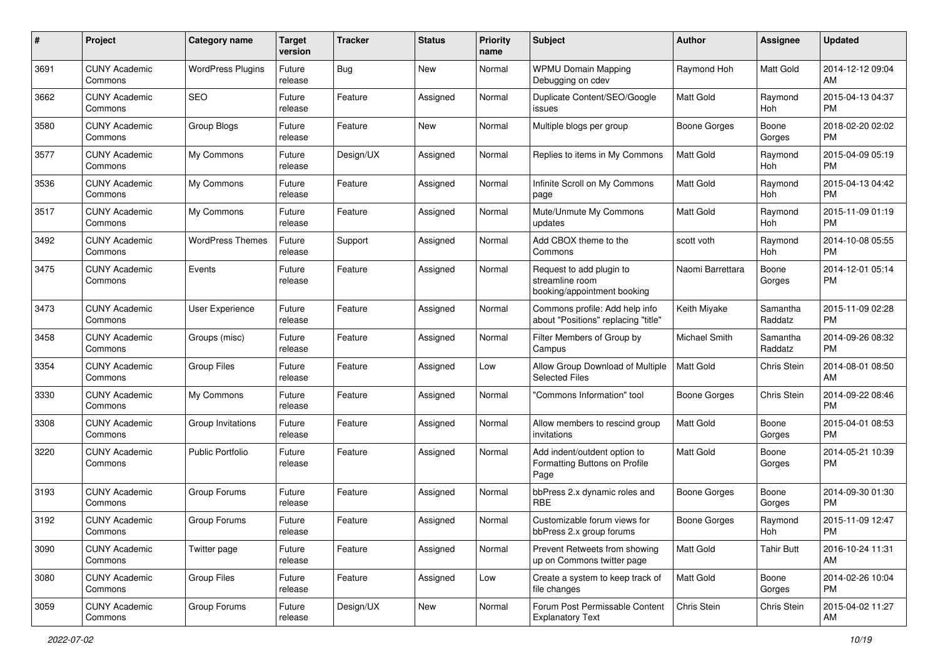| #    | Project                         | <b>Category name</b>     | <b>Target</b><br>version | <b>Tracker</b> | <b>Status</b> | <b>Priority</b><br>name | <b>Subject</b>                                                             | <b>Author</b>        | <b>Assignee</b>     | <b>Updated</b>                |
|------|---------------------------------|--------------------------|--------------------------|----------------|---------------|-------------------------|----------------------------------------------------------------------------|----------------------|---------------------|-------------------------------|
| 3691 | <b>CUNY Academic</b><br>Commons | <b>WordPress Plugins</b> | Future<br>release        | Bug            | New           | Normal                  | <b>WPMU Domain Mapping</b><br>Debugging on cdev                            | Raymond Hoh          | Matt Gold           | 2014-12-12 09:04<br>AM        |
| 3662 | <b>CUNY Academic</b><br>Commons | SEO                      | Future<br>release        | Feature        | Assigned      | Normal                  | Duplicate Content/SEO/Google<br>issues                                     | Matt Gold            | Raymond<br>Hoh      | 2015-04-13 04:37<br><b>PM</b> |
| 3580 | <b>CUNY Academic</b><br>Commons | Group Blogs              | Future<br>release        | Feature        | New           | Normal                  | Multiple blogs per group                                                   | Boone Gorges         | Boone<br>Gorges     | 2018-02-20 02:02<br><b>PM</b> |
| 3577 | <b>CUNY Academic</b><br>Commons | My Commons               | Future<br>release        | Design/UX      | Assigned      | Normal                  | Replies to items in My Commons                                             | <b>Matt Gold</b>     | Raymond<br>Hoh      | 2015-04-09 05:19<br>PM.       |
| 3536 | <b>CUNY Academic</b><br>Commons | My Commons               | Future<br>release        | Feature        | Assigned      | Normal                  | Infinite Scroll on My Commons<br>page                                      | Matt Gold            | Raymond<br>Hoh      | 2015-04-13 04:42<br><b>PM</b> |
| 3517 | <b>CUNY Academic</b><br>Commons | My Commons               | Future<br>release        | Feature        | Assigned      | Normal                  | Mute/Unmute My Commons<br>updates                                          | Matt Gold            | Raymond<br>Hoh      | 2015-11-09 01:19<br><b>PM</b> |
| 3492 | <b>CUNY Academic</b><br>Commons | <b>WordPress Themes</b>  | Future<br>release        | Support        | Assigned      | Normal                  | Add CBOX theme to the<br>Commons                                           | scott voth           | Raymond<br>Hoh      | 2014-10-08 05:55<br>PM.       |
| 3475 | <b>CUNY Academic</b><br>Commons | Events                   | Future<br>release        | Feature        | Assigned      | Normal                  | Request to add plugin to<br>streamline room<br>booking/appointment booking | Naomi Barrettara     | Boone<br>Gorges     | 2014-12-01 05:14<br>PM.       |
| 3473 | <b>CUNY Academic</b><br>Commons | User Experience          | Future<br>release        | Feature        | Assigned      | Normal                  | Commons profile: Add help info<br>about "Positions" replacing "title"      | Keith Miyake         | Samantha<br>Raddatz | 2015-11-09 02:28<br>PM.       |
| 3458 | <b>CUNY Academic</b><br>Commons | Groups (misc)            | Future<br>release        | Feature        | Assigned      | Normal                  | Filter Members of Group by<br>Campus                                       | <b>Michael Smith</b> | Samantha<br>Raddatz | 2014-09-26 08:32<br><b>PM</b> |
| 3354 | <b>CUNY Academic</b><br>Commons | <b>Group Files</b>       | Future<br>release        | Feature        | Assigned      | Low                     | Allow Group Download of Multiple<br><b>Selected Files</b>                  | <b>Matt Gold</b>     | Chris Stein         | 2014-08-01 08:50<br>AM        |
| 3330 | <b>CUNY Academic</b><br>Commons | My Commons               | Future<br>release        | Feature        | Assigned      | Normal                  | "Commons Information" tool                                                 | Boone Gorges         | Chris Stein         | 2014-09-22 08:46<br><b>PM</b> |
| 3308 | <b>CUNY Academic</b><br>Commons | Group Invitations        | Future<br>release        | Feature        | Assigned      | Normal                  | Allow members to rescind group<br>invitations                              | <b>Matt Gold</b>     | Boone<br>Gorges     | 2015-04-01 08:53<br><b>PM</b> |
| 3220 | <b>CUNY Academic</b><br>Commons | <b>Public Portfolio</b>  | Future<br>release        | Feature        | Assigned      | Normal                  | Add indent/outdent option to<br>Formatting Buttons on Profile<br>Page      | <b>Matt Gold</b>     | Boone<br>Gorges     | 2014-05-21 10:39<br>PM.       |
| 3193 | <b>CUNY Academic</b><br>Commons | Group Forums             | Future<br>release        | Feature        | Assigned      | Normal                  | bbPress 2.x dynamic roles and<br><b>RBE</b>                                | Boone Gorges         | Boone<br>Gorges     | 2014-09-30 01:30<br>PM.       |
| 3192 | <b>CUNY Academic</b><br>Commons | Group Forums             | Future<br>release        | Feature        | Assigned      | Normal                  | Customizable forum views for<br>bbPress 2.x group forums                   | Boone Gorges         | Raymond<br>Hoh      | 2015-11-09 12:47<br>PM        |
| 3090 | <b>CUNY Academic</b><br>Commons | Twitter page             | Future<br>release        | Feature        | Assigned      | Normal                  | Prevent Retweets from showing<br>up on Commons twitter page                | Matt Gold            | <b>Tahir Butt</b>   | 2016-10-24 11:31<br>AM        |
| 3080 | <b>CUNY Academic</b><br>Commons | <b>Group Files</b>       | Future<br>release        | Feature        | Assigned      | Low                     | Create a system to keep track of<br>file changes                           | Matt Gold            | Boone<br>Gorges     | 2014-02-26 10:04<br><b>PM</b> |
| 3059 | <b>CUNY Academic</b><br>Commons | Group Forums             | Future<br>release        | Design/UX      | New           | Normal                  | Forum Post Permissable Content<br><b>Explanatory Text</b>                  | Chris Stein          | Chris Stein         | 2015-04-02 11:27<br>AM        |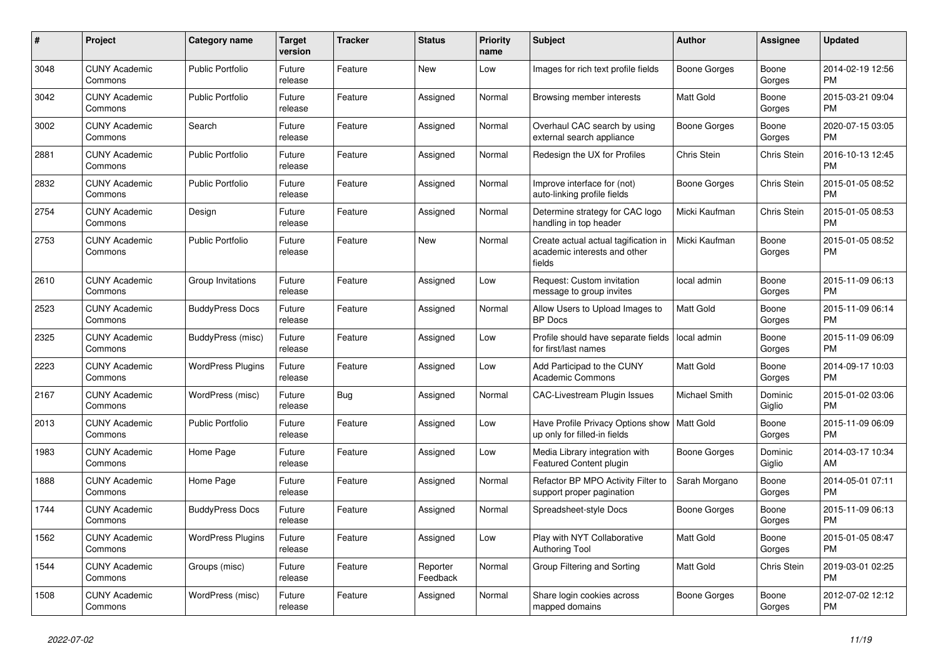| #    | <b>Project</b>                  | Category name            | <b>Target</b><br>version | <b>Tracker</b> | <b>Status</b>        | <b>Priority</b><br>name | <b>Subject</b>                                                                 | <b>Author</b>    | Assignee          | <b>Updated</b>                |
|------|---------------------------------|--------------------------|--------------------------|----------------|----------------------|-------------------------|--------------------------------------------------------------------------------|------------------|-------------------|-------------------------------|
| 3048 | <b>CUNY Academic</b><br>Commons | <b>Public Portfolio</b>  | Future<br>release        | Feature        | New                  | Low                     | Images for rich text profile fields                                            | Boone Gorges     | Boone<br>Gorges   | 2014-02-19 12:56<br><b>PM</b> |
| 3042 | <b>CUNY Academic</b><br>Commons | <b>Public Portfolio</b>  | Future<br>release        | Feature        | Assigned             | Normal                  | Browsing member interests                                                      | Matt Gold        | Boone<br>Gorges   | 2015-03-21 09:04<br><b>PM</b> |
| 3002 | <b>CUNY Academic</b><br>Commons | Search                   | Future<br>release        | Feature        | Assigned             | Normal                  | Overhaul CAC search by using<br>external search appliance                      | Boone Gorges     | Boone<br>Gorges   | 2020-07-15 03:05<br><b>PM</b> |
| 2881 | <b>CUNY Academic</b><br>Commons | <b>Public Portfolio</b>  | Future<br>release        | Feature        | Assigned             | Normal                  | Redesign the UX for Profiles                                                   | Chris Stein      | Chris Stein       | 2016-10-13 12:45<br><b>PM</b> |
| 2832 | <b>CUNY Academic</b><br>Commons | <b>Public Portfolio</b>  | Future<br>release        | Feature        | Assigned             | Normal                  | Improve interface for (not)<br>auto-linking profile fields                     | Boone Gorges     | Chris Stein       | 2015-01-05 08:52<br><b>PM</b> |
| 2754 | <b>CUNY Academic</b><br>Commons | Design                   | Future<br>release        | Feature        | Assigned             | Normal                  | Determine strategy for CAC logo<br>handling in top header                      | Micki Kaufman    | Chris Stein       | 2015-01-05 08:53<br><b>PM</b> |
| 2753 | <b>CUNY Academic</b><br>Commons | <b>Public Portfolio</b>  | Future<br>release        | Feature        | <b>New</b>           | Normal                  | Create actual actual tagification in<br>academic interests and other<br>fields | Micki Kaufman    | Boone<br>Gorges   | 2015-01-05 08:52<br><b>PM</b> |
| 2610 | <b>CUNY Academic</b><br>Commons | Group Invitations        | Future<br>release        | Feature        | Assigned             | Low                     | Request: Custom invitation<br>message to group invites                         | local admin      | Boone<br>Gorges   | 2015-11-09 06:13<br><b>PM</b> |
| 2523 | <b>CUNY Academic</b><br>Commons | <b>BuddyPress Docs</b>   | Future<br>release        | Feature        | Assigned             | Normal                  | Allow Users to Upload Images to<br><b>BP</b> Docs                              | Matt Gold        | Boone<br>Gorges   | 2015-11-09 06:14<br><b>PM</b> |
| 2325 | <b>CUNY Academic</b><br>Commons | <b>BuddyPress (misc)</b> | Future<br>release        | Feature        | Assigned             | Low                     | Profile should have separate fields<br>for first/last names                    | local admin      | Boone<br>Gorges   | 2015-11-09 06:09<br><b>PM</b> |
| 2223 | <b>CUNY Academic</b><br>Commons | <b>WordPress Plugins</b> | Future<br>release        | Feature        | Assigned             | Low                     | Add Participad to the CUNY<br><b>Academic Commons</b>                          | Matt Gold        | Boone<br>Gorges   | 2014-09-17 10:03<br><b>PM</b> |
| 2167 | <b>CUNY Academic</b><br>Commons | WordPress (misc)         | Future<br>release        | Bug            | Assigned             | Normal                  | CAC-Livestream Plugin Issues                                                   | Michael Smith    | Dominic<br>Giglio | 2015-01-02 03:06<br><b>PM</b> |
| 2013 | <b>CUNY Academic</b><br>Commons | Public Portfolio         | Future<br>release        | Feature        | Assigned             | Low                     | Have Profile Privacy Options show<br>up only for filled-in fields              | <b>Matt Gold</b> | Boone<br>Gorges   | 2015-11-09 06:09<br><b>PM</b> |
| 1983 | <b>CUNY Academic</b><br>Commons | Home Page                | Future<br>release        | Feature        | Assigned             | Low                     | Media Library integration with<br><b>Featured Content plugin</b>               | Boone Gorges     | Dominic<br>Giglio | 2014-03-17 10:34<br>AM        |
| 1888 | <b>CUNY Academic</b><br>Commons | Home Page                | Future<br>release        | Feature        | Assigned             | Normal                  | Refactor BP MPO Activity Filter to<br>support proper pagination                | Sarah Morgano    | Boone<br>Gorges   | 2014-05-01 07:11<br><b>PM</b> |
| 1744 | <b>CUNY Academic</b><br>Commons | <b>BuddyPress Docs</b>   | Future<br>release        | Feature        | Assigned             | Normal                  | Spreadsheet-style Docs                                                         | Boone Gorges     | Boone<br>Gorges   | 2015-11-09 06:13<br><b>PM</b> |
| 1562 | <b>CUNY Academic</b><br>Commons | <b>WordPress Plugins</b> | Future<br>release        | Feature        | Assigned             | Low                     | Play with NYT Collaborative<br>Authoring Tool                                  | <b>Matt Gold</b> | Boone<br>Gorges   | 2015-01-05 08:47<br><b>PM</b> |
| 1544 | <b>CUNY Academic</b><br>Commons | Groups (misc)            | Future<br>release        | Feature        | Reporter<br>Feedback | Normal                  | Group Filtering and Sorting                                                    | <b>Matt Gold</b> | Chris Stein       | 2019-03-01 02:25<br><b>PM</b> |
| 1508 | <b>CUNY Academic</b><br>Commons | WordPress (misc)         | Future<br>release        | Feature        | Assigned             | Normal                  | Share login cookies across<br>mapped domains                                   | Boone Gorges     | Boone<br>Gorges   | 2012-07-02 12:12<br><b>PM</b> |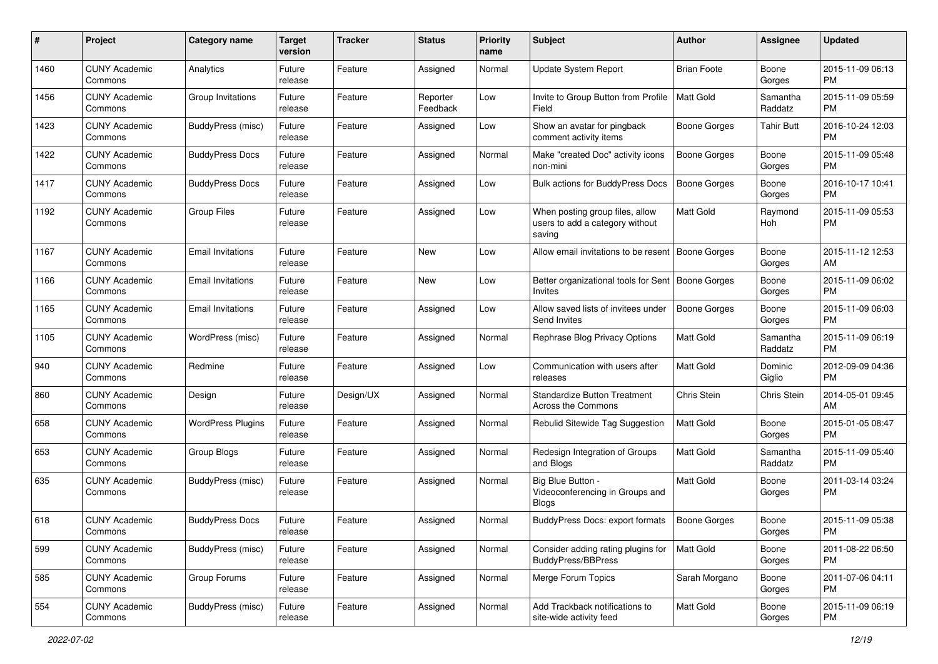| #    | Project                         | <b>Category name</b>     | <b>Target</b><br>version | <b>Tracker</b> | <b>Status</b>        | <b>Priority</b><br>name | <b>Subject</b>                                                               | <b>Author</b>       | <b>Assignee</b>     | <b>Updated</b>                |
|------|---------------------------------|--------------------------|--------------------------|----------------|----------------------|-------------------------|------------------------------------------------------------------------------|---------------------|---------------------|-------------------------------|
| 1460 | <b>CUNY Academic</b><br>Commons | Analytics                | Future<br>release        | Feature        | Assigned             | Normal                  | <b>Update System Report</b>                                                  | <b>Brian Foote</b>  | Boone<br>Gorges     | 2015-11-09 06:13<br>PM.       |
| 1456 | <b>CUNY Academic</b><br>Commons | Group Invitations        | Future<br>release        | Feature        | Reporter<br>Feedback | Low                     | Invite to Group Button from Profile<br>Field                                 | Matt Gold           | Samantha<br>Raddatz | 2015-11-09 05:59<br><b>PM</b> |
| 1423 | <b>CUNY Academic</b><br>Commons | <b>BuddyPress (misc)</b> | Future<br>release        | Feature        | Assigned             | Low                     | Show an avatar for pingback<br>comment activity items                        | Boone Gorges        | <b>Tahir Butt</b>   | 2016-10-24 12:03<br><b>PM</b> |
| 1422 | <b>CUNY Academic</b><br>Commons | <b>BuddyPress Docs</b>   | Future<br>release        | Feature        | Assigned             | Normal                  | Make "created Doc" activity icons<br>non-mini                                | Boone Gorges        | Boone<br>Gorges     | 2015-11-09 05:48<br><b>PM</b> |
| 1417 | <b>CUNY Academic</b><br>Commons | <b>BuddyPress Docs</b>   | Future<br>release        | Feature        | Assigned             | Low                     | Bulk actions for BuddyPress Docs                                             | Boone Gorges        | Boone<br>Gorges     | 2016-10-17 10:41<br><b>PM</b> |
| 1192 | <b>CUNY Academic</b><br>Commons | <b>Group Files</b>       | Future<br>release        | Feature        | Assigned             | Low                     | When posting group files, allow<br>users to add a category without<br>saving | <b>Matt Gold</b>    | Raymond<br>Hoh      | 2015-11-09 05:53<br><b>PM</b> |
| 1167 | <b>CUNY Academic</b><br>Commons | <b>Email Invitations</b> | Future<br>release        | Feature        | New                  | Low                     | Allow email invitations to be resent                                         | Boone Gorges        | Boone<br>Gorges     | 2015-11-12 12:53<br>AM        |
| 1166 | <b>CUNY Academic</b><br>Commons | <b>Email Invitations</b> | Future<br>release        | Feature        | New                  | Low                     | Better organizational tools for Sent<br>Invites                              | <b>Boone Gorges</b> | Boone<br>Gorges     | 2015-11-09 06:02<br><b>PM</b> |
| 1165 | <b>CUNY Academic</b><br>Commons | <b>Email Invitations</b> | Future<br>release        | Feature        | Assigned             | Low                     | Allow saved lists of invitees under<br>Send Invites                          | <b>Boone Gorges</b> | Boone<br>Gorges     | 2015-11-09 06:03<br><b>PM</b> |
| 1105 | <b>CUNY Academic</b><br>Commons | WordPress (misc)         | Future<br>release        | Feature        | Assigned             | Normal                  | Rephrase Blog Privacy Options                                                | Matt Gold           | Samantha<br>Raddatz | 2015-11-09 06:19<br><b>PM</b> |
| 940  | <b>CUNY Academic</b><br>Commons | Redmine                  | Future<br>release        | Feature        | Assigned             | Low                     | Communication with users after<br>releases                                   | Matt Gold           | Dominic<br>Giglio   | 2012-09-09 04:36<br><b>PM</b> |
| 860  | <b>CUNY Academic</b><br>Commons | Design                   | Future<br>release        | Design/UX      | Assigned             | Normal                  | <b>Standardize Button Treatment</b><br>Across the Commons                    | Chris Stein         | <b>Chris Stein</b>  | 2014-05-01 09:45<br>AM        |
| 658  | <b>CUNY Academic</b><br>Commons | <b>WordPress Plugins</b> | Future<br>release        | Feature        | Assigned             | Normal                  | Rebulid Sitewide Tag Suggestion                                              | Matt Gold           | Boone<br>Gorges     | 2015-01-05 08:47<br><b>PM</b> |
| 653  | <b>CUNY Academic</b><br>Commons | Group Blogs              | Future<br>release        | Feature        | Assigned             | Normal                  | Redesign Integration of Groups<br>and Blogs                                  | Matt Gold           | Samantha<br>Raddatz | 2015-11-09 05:40<br><b>PM</b> |
| 635  | <b>CUNY Academic</b><br>Commons | BuddyPress (misc)        | Future<br>release        | Feature        | Assigned             | Normal                  | Big Blue Button -<br>Videoconferencing in Groups and<br><b>Blogs</b>         | <b>Matt Gold</b>    | Boone<br>Gorges     | 2011-03-14 03:24<br><b>PM</b> |
| 618  | <b>CUNY Academic</b><br>Commons | <b>BuddyPress Docs</b>   | Future<br>release        | Feature        | Assigned             | Normal                  | BuddyPress Docs: export formats                                              | <b>Boone Gorges</b> | Boone<br>Gorges     | 2015-11-09 05:38<br>PM        |
| 599  | <b>CUNY Academic</b><br>Commons | BuddyPress (misc)        | Future<br>release        | Feature        | Assigned             | Normal                  | Consider adding rating plugins for<br><b>BuddyPress/BBPress</b>              | Matt Gold           | Boone<br>Gorges     | 2011-08-22 06:50<br><b>PM</b> |
| 585  | <b>CUNY Academic</b><br>Commons | Group Forums             | Future<br>release        | Feature        | Assigned             | Normal                  | Merge Forum Topics                                                           | Sarah Morgano       | Boone<br>Gorges     | 2011-07-06 04:11<br><b>PM</b> |
| 554  | <b>CUNY Academic</b><br>Commons | BuddyPress (misc)        | Future<br>release        | Feature        | Assigned             | Normal                  | Add Trackback notifications to<br>site-wide activity feed                    | Matt Gold           | Boone<br>Gorges     | 2015-11-09 06:19<br><b>PM</b> |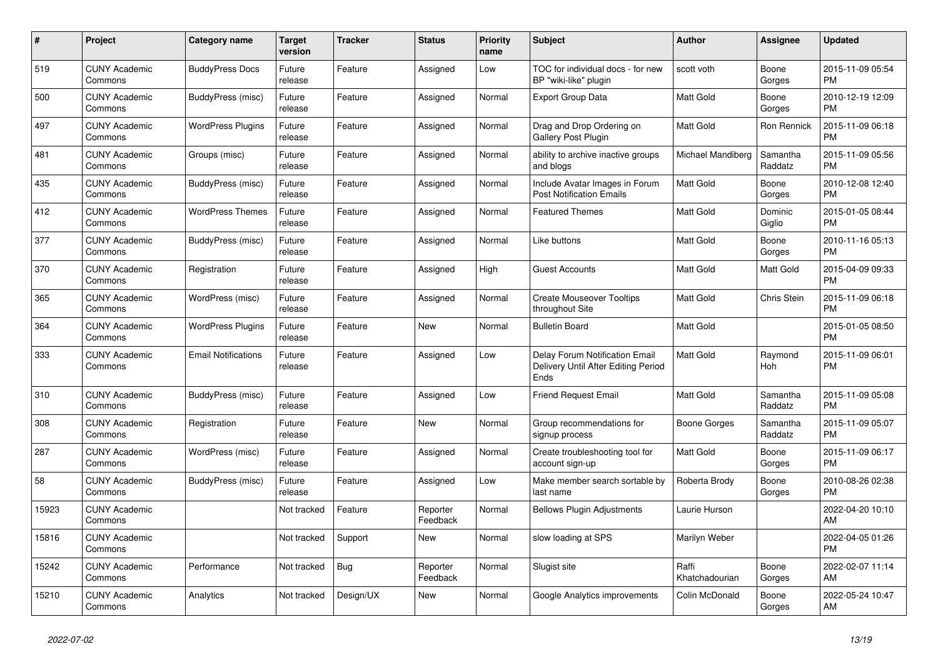| $\#$  | <b>Project</b>                  | <b>Category name</b>       | <b>Target</b><br>version | <b>Tracker</b> | <b>Status</b>        | Priority<br>name | <b>Subject</b>                                                                | <b>Author</b>           | Assignee            | <b>Updated</b>                |
|-------|---------------------------------|----------------------------|--------------------------|----------------|----------------------|------------------|-------------------------------------------------------------------------------|-------------------------|---------------------|-------------------------------|
| 519   | <b>CUNY Academic</b><br>Commons | <b>BuddyPress Docs</b>     | Future<br>release        | Feature        | Assigned             | Low              | TOC for individual docs - for new<br>BP "wiki-like" plugin                    | scott voth              | Boone<br>Gorges     | 2015-11-09 05:54<br><b>PM</b> |
| 500   | <b>CUNY Academic</b><br>Commons | BuddyPress (misc)          | Future<br>release        | Feature        | Assigned             | Normal           | <b>Export Group Data</b>                                                      | Matt Gold               | Boone<br>Gorges     | 2010-12-19 12:09<br><b>PM</b> |
| 497   | <b>CUNY Academic</b><br>Commons | <b>WordPress Plugins</b>   | Future<br>release        | Feature        | Assigned             | Normal           | Drag and Drop Ordering on<br><b>Gallery Post Plugin</b>                       | Matt Gold               | Ron Rennick         | 2015-11-09 06:18<br><b>PM</b> |
| 481   | <b>CUNY Academic</b><br>Commons | Groups (misc)              | Future<br>release        | Feature        | Assigned             | Normal           | ability to archive inactive groups<br>and blogs                               | Michael Mandiberg       | Samantha<br>Raddatz | 2015-11-09 05:56<br><b>PM</b> |
| 435   | <b>CUNY Academic</b><br>Commons | BuddyPress (misc)          | Future<br>release        | Feature        | Assigned             | Normal           | Include Avatar Images in Forum<br><b>Post Notification Emails</b>             | Matt Gold               | Boone<br>Gorges     | 2010-12-08 12:40<br><b>PM</b> |
| 412   | <b>CUNY Academic</b><br>Commons | <b>WordPress Themes</b>    | Future<br>release        | Feature        | Assigned             | Normal           | <b>Featured Themes</b>                                                        | Matt Gold               | Dominic<br>Giglio   | 2015-01-05 08:44<br><b>PM</b> |
| 377   | <b>CUNY Academic</b><br>Commons | BuddyPress (misc)          | Future<br>release        | Feature        | Assigned             | Normal           | Like buttons                                                                  | Matt Gold               | Boone<br>Gorges     | 2010-11-16 05:13<br><b>PM</b> |
| 370   | <b>CUNY Academic</b><br>Commons | Registration               | Future<br>release        | Feature        | Assigned             | High             | <b>Guest Accounts</b>                                                         | Matt Gold               | Matt Gold           | 2015-04-09 09:33<br><b>PM</b> |
| 365   | <b>CUNY Academic</b><br>Commons | WordPress (misc)           | Future<br>release        | Feature        | Assigned             | Normal           | <b>Create Mouseover Tooltips</b><br>throughout Site                           | Matt Gold               | Chris Stein         | 2015-11-09 06:18<br><b>PM</b> |
| 364   | <b>CUNY Academic</b><br>Commons | <b>WordPress Plugins</b>   | Future<br>release        | Feature        | <b>New</b>           | Normal           | <b>Bulletin Board</b>                                                         | <b>Matt Gold</b>        |                     | 2015-01-05 08:50<br><b>PM</b> |
| 333   | <b>CUNY Academic</b><br>Commons | <b>Email Notifications</b> | Future<br>release        | Feature        | Assigned             | Low              | Delay Forum Notification Email<br>Delivery Until After Editing Period<br>Ends | <b>Matt Gold</b>        | Raymond<br>Hoh      | 2015-11-09 06:01<br><b>PM</b> |
| 310   | <b>CUNY Academic</b><br>Commons | BuddyPress (misc)          | Future<br>release        | Feature        | Assigned             | Low              | <b>Friend Request Email</b>                                                   | <b>Matt Gold</b>        | Samantha<br>Raddatz | 2015-11-09 05:08<br><b>PM</b> |
| 308   | <b>CUNY Academic</b><br>Commons | Registration               | Future<br>release        | Feature        | <b>New</b>           | Normal           | Group recommendations for<br>signup process                                   | Boone Gorges            | Samantha<br>Raddatz | 2015-11-09 05:07<br><b>PM</b> |
| 287   | <b>CUNY Academic</b><br>Commons | WordPress (misc)           | Future<br>release        | Feature        | Assigned             | Normal           | Create troubleshooting tool for<br>account sign-up                            | Matt Gold               | Boone<br>Gorges     | 2015-11-09 06:17<br><b>PM</b> |
| 58    | <b>CUNY Academic</b><br>Commons | BuddyPress (misc)          | Future<br>release        | Feature        | Assigned             | Low              | Make member search sortable by<br>last name                                   | Roberta Brody           | Boone<br>Gorges     | 2010-08-26 02:38<br><b>PM</b> |
| 15923 | <b>CUNY Academic</b><br>Commons |                            | Not tracked              | Feature        | Reporter<br>Feedback | Normal           | <b>Bellows Plugin Adjustments</b>                                             | Laurie Hurson           |                     | 2022-04-20 10:10<br>AM        |
| 15816 | <b>CUNY Academic</b><br>Commons |                            | Not tracked              | Support        | New                  | Normal           | slow loading at SPS                                                           | Marilyn Weber           |                     | 2022-04-05 01:26<br><b>PM</b> |
| 15242 | <b>CUNY Academic</b><br>Commons | Performance                | Not tracked              | Bug            | Reporter<br>Feedback | Normal           | Slugist site                                                                  | Raffi<br>Khatchadourian | Boone<br>Gorges     | 2022-02-07 11:14<br>AM        |
| 15210 | CUNY Academic<br>Commons        | Analytics                  | Not tracked              | Design/UX      | <b>New</b>           | Normal           | Google Analytics improvements                                                 | Colin McDonald          | Boone<br>Gorges     | 2022-05-24 10:47<br>AM        |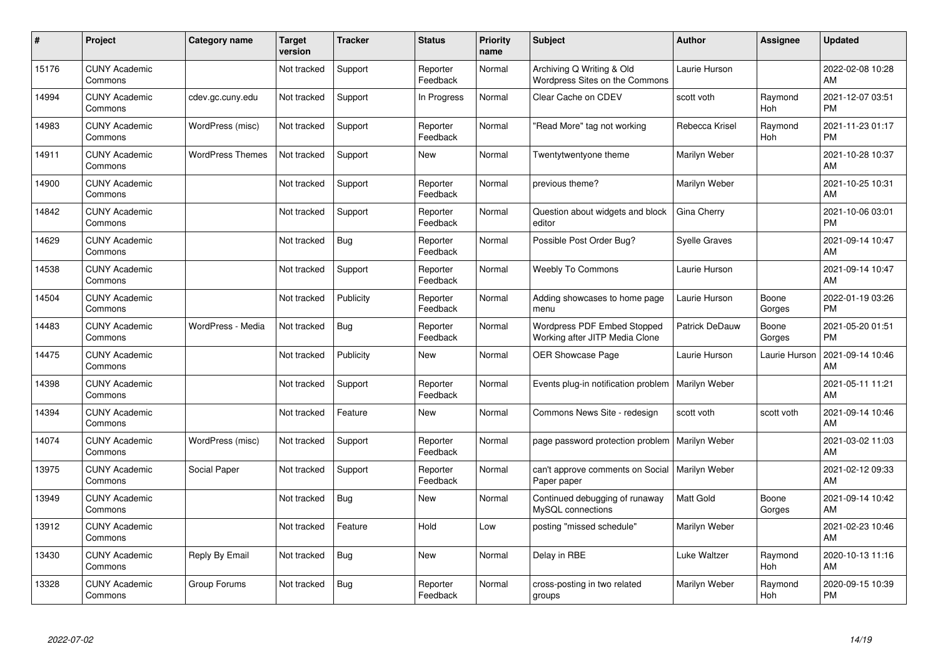| #     | Project                         | Category name           | <b>Target</b><br>version | <b>Tracker</b> | <b>Status</b>        | Priority<br>name | <b>Subject</b>                                                       | <b>Author</b>         | <b>Assignee</b> | <b>Updated</b>                |
|-------|---------------------------------|-------------------------|--------------------------|----------------|----------------------|------------------|----------------------------------------------------------------------|-----------------------|-----------------|-------------------------------|
| 15176 | <b>CUNY Academic</b><br>Commons |                         | Not tracked              | Support        | Reporter<br>Feedback | Normal           | Archiving Q Writing & Old<br>Wordpress Sites on the Commons          | Laurie Hurson         |                 | 2022-02-08 10:28<br>AM        |
| 14994 | <b>CUNY Academic</b><br>Commons | cdev.gc.cuny.edu        | Not tracked              | Support        | In Progress          | Normal           | Clear Cache on CDEV                                                  | scott voth            | Raymond<br>Hoh  | 2021-12-07 03:51<br><b>PM</b> |
| 14983 | <b>CUNY Academic</b><br>Commons | WordPress (misc)        | Not tracked              | Support        | Reporter<br>Feedback | Normal           | "Read More" tag not working                                          | Rebecca Krisel        | Raymond<br>Hoh  | 2021-11-23 01:17<br><b>PM</b> |
| 14911 | <b>CUNY Academic</b><br>Commons | <b>WordPress Themes</b> | Not tracked              | Support        | <b>New</b>           | Normal           | Twentytwentyone theme                                                | Marilyn Weber         |                 | 2021-10-28 10:37<br>AM        |
| 14900 | <b>CUNY Academic</b><br>Commons |                         | Not tracked              | Support        | Reporter<br>Feedback | Normal           | previous theme?                                                      | Marilyn Weber         |                 | 2021-10-25 10:31<br>AM        |
| 14842 | <b>CUNY Academic</b><br>Commons |                         | Not tracked              | Support        | Reporter<br>Feedback | Normal           | Question about widgets and block<br>editor                           | Gina Cherry           |                 | 2021-10-06 03:01<br><b>PM</b> |
| 14629 | <b>CUNY Academic</b><br>Commons |                         | Not tracked              | Bug            | Reporter<br>Feedback | Normal           | Possible Post Order Bug?                                             | <b>Syelle Graves</b>  |                 | 2021-09-14 10:47<br>AM        |
| 14538 | <b>CUNY Academic</b><br>Commons |                         | Not tracked              | Support        | Reporter<br>Feedback | Normal           | <b>Weebly To Commons</b>                                             | Laurie Hurson         |                 | 2021-09-14 10:47<br>AM        |
| 14504 | <b>CUNY Academic</b><br>Commons |                         | Not tracked              | Publicity      | Reporter<br>Feedback | Normal           | Adding showcases to home page<br>menu                                | Laurie Hurson         | Boone<br>Gorges | 2022-01-19 03:26<br><b>PM</b> |
| 14483 | <b>CUNY Academic</b><br>Commons | WordPress - Media       | Not tracked              | <b>Bug</b>     | Reporter<br>Feedback | Normal           | <b>Wordpress PDF Embed Stopped</b><br>Working after JITP Media Clone | <b>Patrick DeDauw</b> | Boone<br>Gorges | 2021-05-20 01:51<br><b>PM</b> |
| 14475 | <b>CUNY Academic</b><br>Commons |                         | Not tracked              | Publicity      | <b>New</b>           | Normal           | <b>OER Showcase Page</b>                                             | Laurie Hurson         | Laurie Hurson   | 2021-09-14 10:46<br>AM        |
| 14398 | <b>CUNY Academic</b><br>Commons |                         | Not tracked              | Support        | Reporter<br>Feedback | Normal           | Events plug-in notification problem                                  | Marilyn Weber         |                 | 2021-05-11 11:21<br>AM        |
| 14394 | <b>CUNY Academic</b><br>Commons |                         | Not tracked              | Feature        | <b>New</b>           | Normal           | Commons News Site - redesign                                         | scott voth            | scott voth      | 2021-09-14 10:46<br>AM        |
| 14074 | <b>CUNY Academic</b><br>Commons | WordPress (misc)        | Not tracked              | Support        | Reporter<br>Feedback | Normal           | page password protection problem                                     | Marilyn Weber         |                 | 2021-03-02 11:03<br>AM        |
| 13975 | <b>CUNY Academic</b><br>Commons | Social Paper            | Not tracked              | Support        | Reporter<br>Feedback | Normal           | can't approve comments on Social   Marilyn Weber<br>Paper paper      |                       |                 | 2021-02-12 09:33<br>AM        |
| 13949 | <b>CUNY Academic</b><br>Commons |                         | Not tracked              | Bug            | <b>New</b>           | Normal           | Continued debugging of runaway<br>MySQL connections                  | <b>Matt Gold</b>      | Boone<br>Gorges | 2021-09-14 10:42<br>AM        |
| 13912 | <b>CUNY Academic</b><br>Commons |                         | Not tracked              | Feature        | Hold                 | Low              | posting "missed schedule"                                            | Marilyn Weber         |                 | 2021-02-23 10:46<br>AM        |
| 13430 | <b>CUNY Academic</b><br>Commons | Reply By Email          | Not tracked              | Bug            | <b>New</b>           | Normal           | Delay in RBE                                                         | Luke Waltzer          | Raymond<br>Hoh  | 2020-10-13 11:16<br>AM        |
| 13328 | <b>CUNY Academic</b><br>Commons | Group Forums            | Not tracked              | Bug            | Reporter<br>Feedback | Normal           | cross-posting in two related<br>groups                               | Marilyn Weber         | Raymond<br>Hoh  | 2020-09-15 10:39<br><b>PM</b> |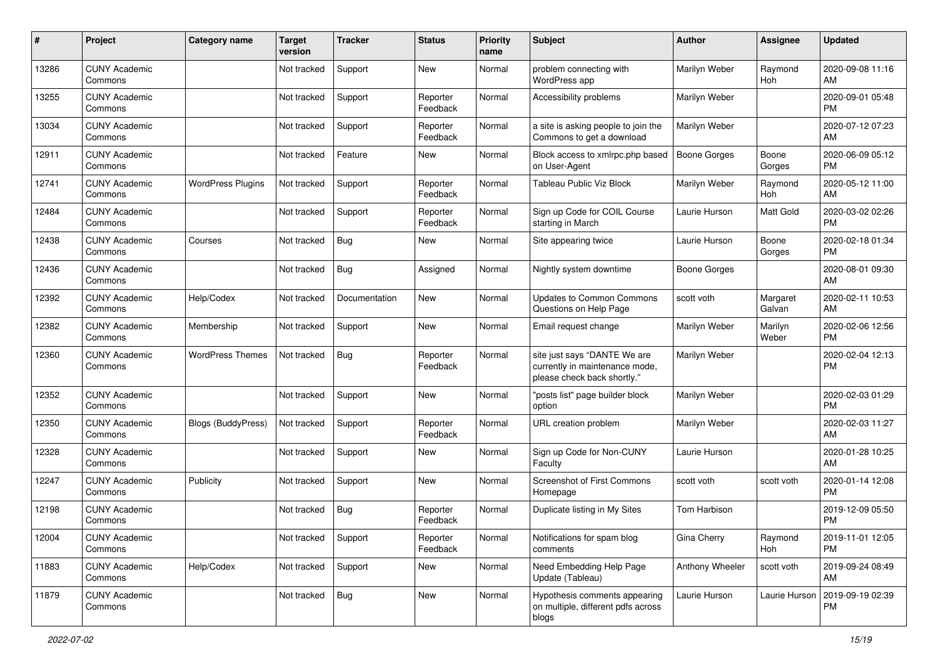| #     | Project                         | <b>Category name</b>     | <b>Target</b><br>version | <b>Tracker</b> | <b>Status</b>        | <b>Priority</b><br>name | <b>Subject</b>                                                                                | <b>Author</b>       | <b>Assignee</b>    | <b>Updated</b>                |
|-------|---------------------------------|--------------------------|--------------------------|----------------|----------------------|-------------------------|-----------------------------------------------------------------------------------------------|---------------------|--------------------|-------------------------------|
| 13286 | <b>CUNY Academic</b><br>Commons |                          | Not tracked              | Support        | New                  | Normal                  | problem connecting with<br>WordPress app                                                      | Marilyn Weber       | Raymond<br>Hoh     | 2020-09-08 11:16<br>AM        |
| 13255 | <b>CUNY Academic</b><br>Commons |                          | Not tracked              | Support        | Reporter<br>Feedback | Normal                  | Accessibility problems                                                                        | Marilyn Weber       |                    | 2020-09-01 05:48<br><b>PM</b> |
| 13034 | <b>CUNY Academic</b><br>Commons |                          | Not tracked              | Support        | Reporter<br>Feedback | Normal                  | a site is asking people to join the<br>Commons to get a download                              | Marilyn Weber       |                    | 2020-07-12 07:23<br>AM        |
| 12911 | <b>CUNY Academic</b><br>Commons |                          | Not tracked              | Feature        | New                  | Normal                  | Block access to xmlrpc.php based<br>on User-Agent                                             | <b>Boone Gorges</b> | Boone<br>Gorges    | 2020-06-09 05:12<br>PM.       |
| 12741 | <b>CUNY Academic</b><br>Commons | <b>WordPress Plugins</b> | Not tracked              | Support        | Reporter<br>Feedback | Normal                  | Tableau Public Viz Block                                                                      | Marilyn Weber       | Raymond<br>Hoh     | 2020-05-12 11:00<br>AM        |
| 12484 | <b>CUNY Academic</b><br>Commons |                          | Not tracked              | Support        | Reporter<br>Feedback | Normal                  | Sign up Code for COIL Course<br>starting in March                                             | Laurie Hurson       | Matt Gold          | 2020-03-02 02:26<br><b>PM</b> |
| 12438 | <b>CUNY Academic</b><br>Commons | Courses                  | Not tracked              | Bug            | New                  | Normal                  | Site appearing twice                                                                          | Laurie Hurson       | Boone<br>Gorges    | 2020-02-18 01:34<br>PM.       |
| 12436 | <b>CUNY Academic</b><br>Commons |                          | Not tracked              | <b>Bug</b>     | Assigned             | Normal                  | Nightly system downtime                                                                       | Boone Gorges        |                    | 2020-08-01 09:30<br>AM        |
| 12392 | <b>CUNY Academic</b><br>Commons | Help/Codex               | Not tracked              | Documentation  | New                  | Normal                  | Updates to Common Commons<br>Questions on Help Page                                           | scott voth          | Margaret<br>Galvan | 2020-02-11 10:53<br>AM        |
| 12382 | <b>CUNY Academic</b><br>Commons | Membership               | Not tracked              | Support        | New                  | Normal                  | Email request change                                                                          | Marilyn Weber       | Marilyn<br>Weber   | 2020-02-06 12:56<br><b>PM</b> |
| 12360 | <b>CUNY Academic</b><br>Commons | <b>WordPress Themes</b>  | Not tracked              | Bug            | Reporter<br>Feedback | Normal                  | site just says "DANTE We are<br>currently in maintenance mode,<br>please check back shortly." | Marilyn Weber       |                    | 2020-02-04 12:13<br><b>PM</b> |
| 12352 | <b>CUNY Academic</b><br>Commons |                          | Not tracked              | Support        | New                  | Normal                  | "posts list" page builder block<br>option                                                     | Marilyn Weber       |                    | 2020-02-03 01:29<br><b>PM</b> |
| 12350 | <b>CUNY Academic</b><br>Commons | Blogs (BuddyPress)       | Not tracked              | Support        | Reporter<br>Feedback | Normal                  | URL creation problem                                                                          | Marilyn Weber       |                    | 2020-02-03 11:27<br>AM        |
| 12328 | <b>CUNY Academic</b><br>Commons |                          | Not tracked              | Support        | New                  | Normal                  | Sign up Code for Non-CUNY<br>Faculty                                                          | Laurie Hurson       |                    | 2020-01-28 10:25<br>AM        |
| 12247 | <b>CUNY Academic</b><br>Commons | Publicity                | Not tracked              | Support        | <b>New</b>           | Normal                  | Screenshot of First Commons<br>Homepage                                                       | scott voth          | scott voth         | 2020-01-14 12:08<br><b>PM</b> |
| 12198 | <b>CUNY Academic</b><br>Commons |                          | Not tracked              | <b>Bug</b>     | Reporter<br>Feedback | Normal                  | Duplicate listing in My Sites                                                                 | Tom Harbison        |                    | 2019-12-09 05:50<br><b>PM</b> |
| 12004 | <b>CUNY Academic</b><br>Commons |                          | Not tracked              | Support        | Reporter<br>Feedback | Normal                  | Notifications for spam blog<br>comments                                                       | Gina Cherry         | Raymond<br>Hoh     | 2019-11-01 12:05<br><b>PM</b> |
| 11883 | <b>CUNY Academic</b><br>Commons | Help/Codex               | Not tracked              | Support        | New                  | Normal                  | Need Embedding Help Page<br>Update (Tableau)                                                  | Anthony Wheeler     | scott voth         | 2019-09-24 08:49<br>AM        |
| 11879 | <b>CUNY Academic</b><br>Commons |                          | Not tracked              | Bug            | New                  | Normal                  | Hypothesis comments appearing<br>on multiple, different pdfs across<br>blogs                  | Laurie Hurson       | Laurie Hurson      | 2019-09-19 02:39<br><b>PM</b> |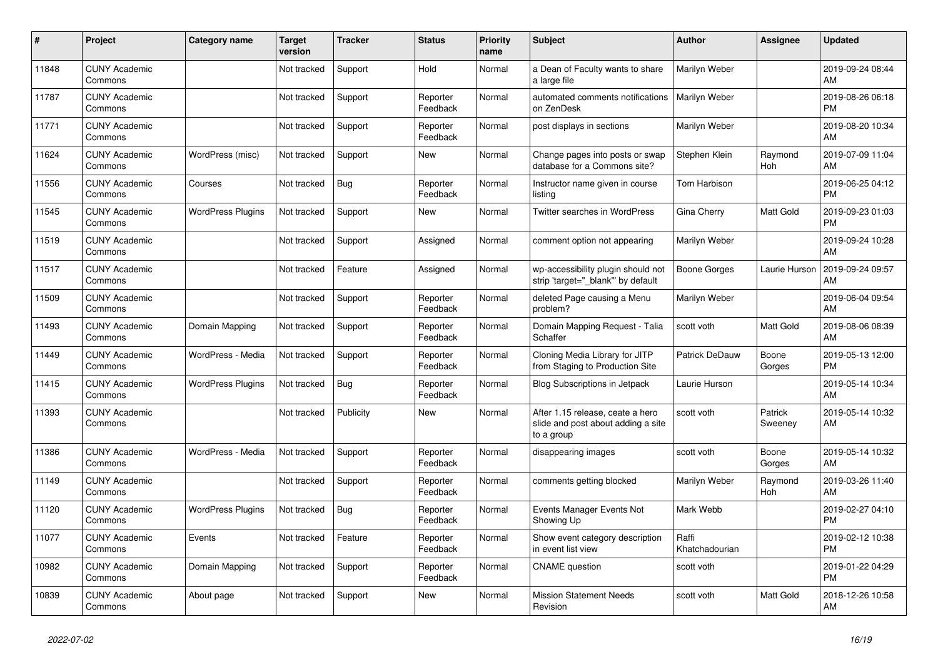| #     | Project                         | <b>Category name</b>     | <b>Target</b><br>version | <b>Tracker</b> | <b>Status</b>        | <b>Priority</b><br>name | <b>Subject</b>                                                                       | <b>Author</b>           | Assignee           | <b>Updated</b>                |
|-------|---------------------------------|--------------------------|--------------------------|----------------|----------------------|-------------------------|--------------------------------------------------------------------------------------|-------------------------|--------------------|-------------------------------|
| 11848 | <b>CUNY Academic</b><br>Commons |                          | Not tracked              | Support        | Hold                 | Normal                  | a Dean of Faculty wants to share<br>a large file                                     | Marilyn Weber           |                    | 2019-09-24 08:44<br>AM        |
| 11787 | <b>CUNY Academic</b><br>Commons |                          | Not tracked              | Support        | Reporter<br>Feedback | Normal                  | automated comments notifications<br>on ZenDesk                                       | Marilyn Weber           |                    | 2019-08-26 06:18<br><b>PM</b> |
| 11771 | <b>CUNY Academic</b><br>Commons |                          | Not tracked              | Support        | Reporter<br>Feedback | Normal                  | post displays in sections                                                            | Marilyn Weber           |                    | 2019-08-20 10:34<br>AM        |
| 11624 | <b>CUNY Academic</b><br>Commons | WordPress (misc)         | Not tracked              | Support        | <b>New</b>           | Normal                  | Change pages into posts or swap<br>database for a Commons site?                      | Stephen Klein           | Raymond<br>Hoh     | 2019-07-09 11:04<br>AM        |
| 11556 | <b>CUNY Academic</b><br>Commons | Courses                  | Not tracked              | Bug            | Reporter<br>Feedback | Normal                  | Instructor name given in course<br>listing                                           | Tom Harbison            |                    | 2019-06-25 04:12<br><b>PM</b> |
| 11545 | <b>CUNY Academic</b><br>Commons | <b>WordPress Plugins</b> | Not tracked              | Support        | <b>New</b>           | Normal                  | Twitter searches in WordPress                                                        | Gina Cherry             | Matt Gold          | 2019-09-23 01:03<br><b>PM</b> |
| 11519 | <b>CUNY Academic</b><br>Commons |                          | Not tracked              | Support        | Assigned             | Normal                  | comment option not appearing                                                         | Marilyn Weber           |                    | 2019-09-24 10:28<br>AM        |
| 11517 | <b>CUNY Academic</b><br>Commons |                          | Not tracked              | Feature        | Assigned             | Normal                  | wp-accessibility plugin should not<br>strip 'target="_blank"' by default             | <b>Boone Gorges</b>     | Laurie Hurson      | 2019-09-24 09:57<br>AM        |
| 11509 | <b>CUNY Academic</b><br>Commons |                          | Not tracked              | Support        | Reporter<br>Feedback | Normal                  | deleted Page causing a Menu<br>problem?                                              | Marilyn Weber           |                    | 2019-06-04 09:54<br>AM        |
| 11493 | <b>CUNY Academic</b><br>Commons | Domain Mapping           | Not tracked              | Support        | Reporter<br>Feedback | Normal                  | Domain Mapping Request - Talia<br>Schaffer                                           | scott voth              | Matt Gold          | 2019-08-06 08:39<br>AM        |
| 11449 | <b>CUNY Academic</b><br>Commons | WordPress - Media        | Not tracked              | Support        | Reporter<br>Feedback | Normal                  | Cloning Media Library for JITP<br>from Staging to Production Site                    | Patrick DeDauw          | Boone<br>Gorges    | 2019-05-13 12:00<br><b>PM</b> |
| 11415 | <b>CUNY Academic</b><br>Commons | <b>WordPress Plugins</b> | Not tracked              | Bug            | Reporter<br>Feedback | Normal                  | <b>Blog Subscriptions in Jetpack</b>                                                 | Laurie Hurson           |                    | 2019-05-14 10:34<br>AM        |
| 11393 | <b>CUNY Academic</b><br>Commons |                          | Not tracked              | Publicity      | <b>New</b>           | Normal                  | After 1.15 release, ceate a hero<br>slide and post about adding a site<br>to a group | scott voth              | Patrick<br>Sweeney | 2019-05-14 10:32<br>AM        |
| 11386 | <b>CUNY Academic</b><br>Commons | WordPress - Media        | Not tracked              | Support        | Reporter<br>Feedback | Normal                  | disappearing images                                                                  | scott voth              | Boone<br>Gorges    | 2019-05-14 10:32<br>AM        |
| 11149 | <b>CUNY Academic</b><br>Commons |                          | Not tracked              | Support        | Reporter<br>Feedback | Normal                  | comments getting blocked                                                             | Marilyn Weber           | Raymond<br>Hoh     | 2019-03-26 11:40<br>AM        |
| 11120 | <b>CUNY Academic</b><br>Commons | <b>WordPress Plugins</b> | Not tracked              | Bug            | Reporter<br>Feedback | Normal                  | Events Manager Events Not<br>Showing Up                                              | Mark Webb               |                    | 2019-02-27 04:10<br><b>PM</b> |
| 11077 | <b>CUNY Academic</b><br>Commons | Events                   | Not tracked              | Feature        | Reporter<br>Feedback | Normal                  | Show event category description<br>in event list view                                | Raffi<br>Khatchadourian |                    | 2019-02-12 10:38<br><b>PM</b> |
| 10982 | <b>CUNY Academic</b><br>Commons | Domain Mapping           | Not tracked              | Support        | Reporter<br>Feedback | Normal                  | <b>CNAME</b> question                                                                | scott voth              |                    | 2019-01-22 04:29<br><b>PM</b> |
| 10839 | <b>CUNY Academic</b><br>Commons | About page               | Not tracked              | Support        | <b>New</b>           | Normal                  | <b>Mission Statement Needs</b><br>Revision                                           | scott voth              | Matt Gold          | 2018-12-26 10:58<br>AM        |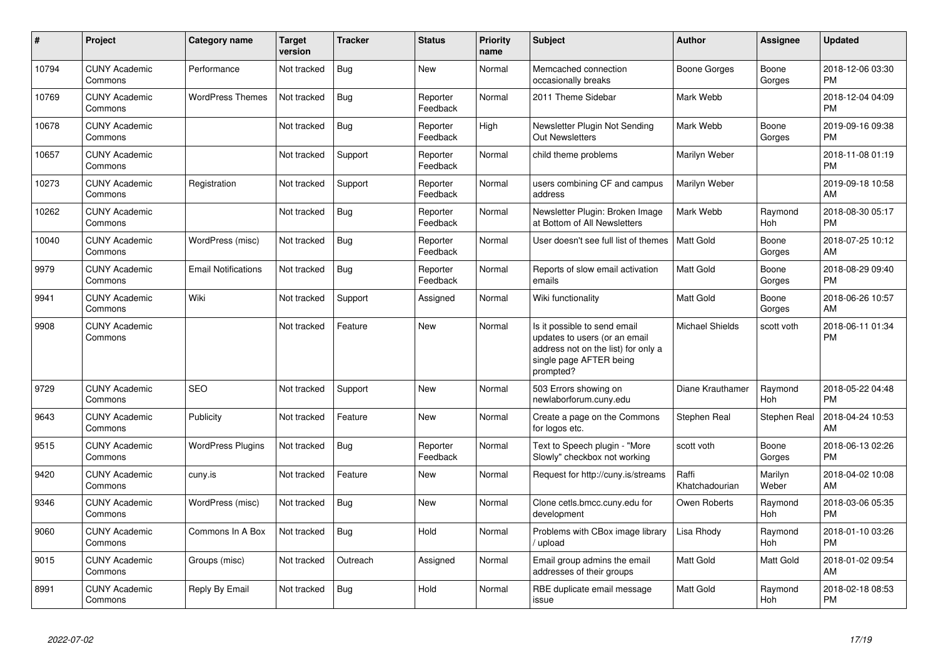| #     | Project                         | <b>Category name</b>       | <b>Target</b><br>version | <b>Tracker</b> | <b>Status</b>        | <b>Priority</b><br>name | <b>Subject</b>                                                                                                                               | <b>Author</b>           | <b>Assignee</b>  | <b>Updated</b>                |
|-------|---------------------------------|----------------------------|--------------------------|----------------|----------------------|-------------------------|----------------------------------------------------------------------------------------------------------------------------------------------|-------------------------|------------------|-------------------------------|
| 10794 | <b>CUNY Academic</b><br>Commons | Performance                | Not tracked              | Bug            | <b>New</b>           | Normal                  | Memcached connection<br>occasionally breaks                                                                                                  | Boone Gorges            | Boone<br>Gorges  | 2018-12-06 03:30<br><b>PM</b> |
| 10769 | <b>CUNY Academic</b><br>Commons | <b>WordPress Themes</b>    | Not tracked              | Bug            | Reporter<br>Feedback | Normal                  | 2011 Theme Sidebar                                                                                                                           | Mark Webb               |                  | 2018-12-04 04:09<br><b>PM</b> |
| 10678 | <b>CUNY Academic</b><br>Commons |                            | Not tracked              | Bug            | Reporter<br>Feedback | High                    | Newsletter Plugin Not Sending<br>Out Newsletters                                                                                             | Mark Webb               | Boone<br>Gorges  | 2019-09-16 09:38<br><b>PM</b> |
| 10657 | <b>CUNY Academic</b><br>Commons |                            | Not tracked              | Support        | Reporter<br>Feedback | Normal                  | child theme problems                                                                                                                         | Marilyn Weber           |                  | 2018-11-08 01:19<br><b>PM</b> |
| 10273 | <b>CUNY Academic</b><br>Commons | Registration               | Not tracked              | Support        | Reporter<br>Feedback | Normal                  | users combining CF and campus<br>address                                                                                                     | Marilyn Weber           |                  | 2019-09-18 10:58<br>AM        |
| 10262 | <b>CUNY Academic</b><br>Commons |                            | Not tracked              | <b>Bug</b>     | Reporter<br>Feedback | Normal                  | Newsletter Plugin: Broken Image<br>at Bottom of All Newsletters                                                                              | Mark Webb               | Raymond<br>Hoh   | 2018-08-30 05:17<br><b>PM</b> |
| 10040 | <b>CUNY Academic</b><br>Commons | WordPress (misc)           | Not tracked              | Bug            | Reporter<br>Feedback | Normal                  | User doesn't see full list of themes                                                                                                         | <b>Matt Gold</b>        | Boone<br>Gorges  | 2018-07-25 10:12<br>AM        |
| 9979  | <b>CUNY Academic</b><br>Commons | <b>Email Notifications</b> | Not tracked              | Bug            | Reporter<br>Feedback | Normal                  | Reports of slow email activation<br>emails                                                                                                   | <b>Matt Gold</b>        | Boone<br>Gorges  | 2018-08-29 09:40<br><b>PM</b> |
| 9941  | <b>CUNY Academic</b><br>Commons | Wiki                       | Not tracked              | Support        | Assigned             | Normal                  | Wiki functionality                                                                                                                           | <b>Matt Gold</b>        | Boone<br>Gorges  | 2018-06-26 10:57<br>AM        |
| 9908  | <b>CUNY Academic</b><br>Commons |                            | Not tracked              | Feature        | <b>New</b>           | Normal                  | Is it possible to send email<br>updates to users (or an email<br>address not on the list) for only a<br>single page AFTER being<br>prompted? | <b>Michael Shields</b>  | scott voth       | 2018-06-11 01:34<br><b>PM</b> |
| 9729  | <b>CUNY Academic</b><br>Commons | <b>SEO</b>                 | Not tracked              | Support        | <b>New</b>           | Normal                  | 503 Errors showing on<br>newlaborforum.cuny.edu                                                                                              | Diane Krauthamer        | Raymond<br>Hoh   | 2018-05-22 04:48<br><b>PM</b> |
| 9643  | <b>CUNY Academic</b><br>Commons | Publicity                  | Not tracked              | Feature        | <b>New</b>           | Normal                  | Create a page on the Commons<br>for logos etc.                                                                                               | Stephen Real            | Stephen Real     | 2018-04-24 10:53<br>AM        |
| 9515  | <b>CUNY Academic</b><br>Commons | <b>WordPress Plugins</b>   | Not tracked              | Bug            | Reporter<br>Feedback | Normal                  | Text to Speech plugin - "More<br>Slowly" checkbox not working                                                                                | scott voth              | Boone<br>Gorges  | 2018-06-13 02:26<br><b>PM</b> |
| 9420  | <b>CUNY Academic</b><br>Commons | cuny.is                    | Not tracked              | Feature        | New                  | Normal                  | Request for http://cuny.is/streams                                                                                                           | Raffi<br>Khatchadourian | Marilyn<br>Weber | 2018-04-02 10:08<br>AM        |
| 9346  | <b>CUNY Academic</b><br>Commons | WordPress (misc)           | Not tracked              | <b>Bug</b>     | <b>New</b>           | Normal                  | Clone cetls.bmcc.cuny.edu for<br>development                                                                                                 | Owen Roberts            | Raymond<br>Hoh   | 2018-03-06 05:35<br><b>PM</b> |
| 9060  | <b>CUNY Academic</b><br>Commons | Commons In A Box           | Not tracked              | Bug            | Hold                 | Normal                  | Problems with CBox image library<br>/ upload                                                                                                 | Lisa Rhody              | Raymond<br>Hoh   | 2018-01-10 03:26<br><b>PM</b> |
| 9015  | <b>CUNY Academic</b><br>Commons | Groups (misc)              | Not tracked              | Outreach       | Assigned             | Normal                  | Email group admins the email<br>addresses of their groups                                                                                    | <b>Matt Gold</b>        | Matt Gold        | 2018-01-02 09:54<br>AM        |
| 8991  | <b>CUNY Academic</b><br>Commons | Reply By Email             | Not tracked              | Bug            | Hold                 | Normal                  | RBE duplicate email message<br>issue                                                                                                         | <b>Matt Gold</b>        | Raymond<br>Hoh   | 2018-02-18 08:53<br><b>PM</b> |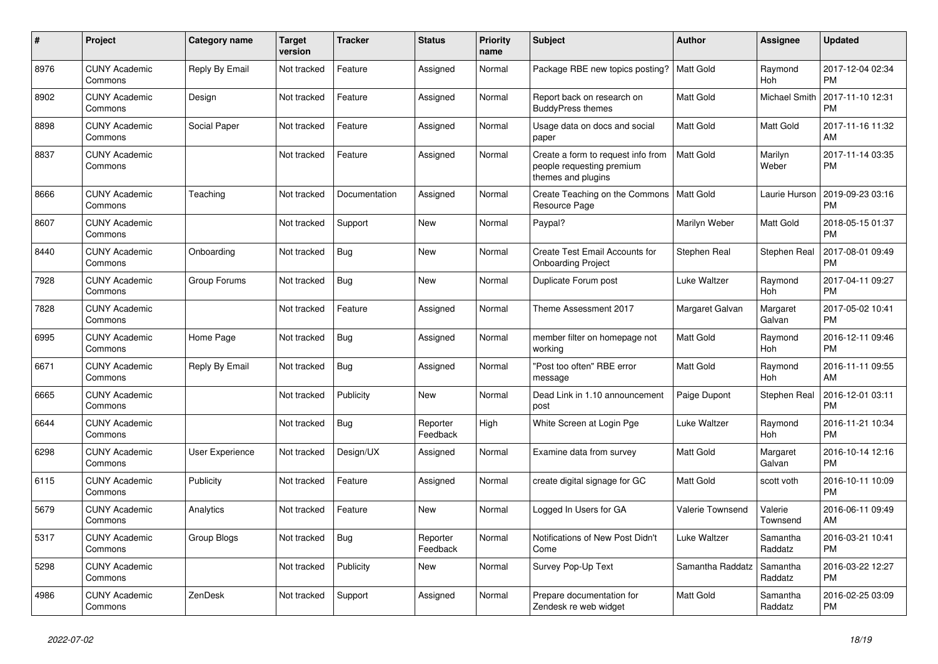| #    | <b>Project</b>                  | <b>Category name</b> | <b>Target</b><br>version | <b>Tracker</b> | <b>Status</b>        | <b>Priority</b><br>name | <b>Subject</b>                                                                        | <b>Author</b>       | Assignee              | <b>Updated</b>                |
|------|---------------------------------|----------------------|--------------------------|----------------|----------------------|-------------------------|---------------------------------------------------------------------------------------|---------------------|-----------------------|-------------------------------|
| 8976 | <b>CUNY Academic</b><br>Commons | Reply By Email       | Not tracked              | Feature        | Assigned             | Normal                  | Package RBE new topics posting?                                                       | Matt Gold           | Raymond<br><b>Hoh</b> | 2017-12-04 02:34<br><b>PM</b> |
| 8902 | <b>CUNY Academic</b><br>Commons | Design               | Not tracked              | Feature        | Assigned             | Normal                  | Report back on research on<br><b>BuddyPress themes</b>                                | Matt Gold           | <b>Michael Smith</b>  | 2017-11-10 12:31<br>PM        |
| 8898 | <b>CUNY Academic</b><br>Commons | Social Paper         | Not tracked              | Feature        | Assigned             | Normal                  | Usage data on docs and social<br>paper                                                | Matt Gold           | Matt Gold             | 2017-11-16 11:32<br>AM        |
| 8837 | <b>CUNY Academic</b><br>Commons |                      | Not tracked              | Feature        | Assigned             | Normal                  | Create a form to request info from<br>people requesting premium<br>themes and plugins | <b>Matt Gold</b>    | Marilyn<br>Weber      | 2017-11-14 03:35<br><b>PM</b> |
| 8666 | <b>CUNY Academic</b><br>Commons | Teaching             | Not tracked              | Documentation  | Assigned             | Normal                  | Create Teaching on the Commons<br><b>Resource Page</b>                                | Matt Gold           | Laurie Hurson         | 2019-09-23 03:16<br>PM        |
| 8607 | <b>CUNY Academic</b><br>Commons |                      | Not tracked              | Support        | <b>New</b>           | Normal                  | Paypal?                                                                               | Marilyn Weber       | Matt Gold             | 2018-05-15 01:37<br><b>PM</b> |
| 8440 | <b>CUNY Academic</b><br>Commons | Onboarding           | Not tracked              | <b>Bug</b>     | <b>New</b>           | Normal                  | Create Test Email Accounts for<br><b>Onboarding Project</b>                           | Stephen Real        | Stephen Real          | 2017-08-01 09:49<br><b>PM</b> |
| 7928 | <b>CUNY Academic</b><br>Commons | Group Forums         | Not tracked              | <b>Bug</b>     | <b>New</b>           | Normal                  | Duplicate Forum post                                                                  | <b>Luke Waltzer</b> | Raymond<br><b>Hoh</b> | 2017-04-11 09:27<br><b>PM</b> |
| 7828 | <b>CUNY Academic</b><br>Commons |                      | Not tracked              | Feature        | Assigned             | Normal                  | Theme Assessment 2017                                                                 | Margaret Galvan     | Margaret<br>Galvan    | 2017-05-02 10:41<br><b>PM</b> |
| 6995 | <b>CUNY Academic</b><br>Commons | Home Page            | Not tracked              | <b>Bug</b>     | Assigned             | Normal                  | member filter on homepage not<br>working                                              | Matt Gold           | Raymond<br>Hoh        | 2016-12-11 09:46<br>PM        |
| 6671 | <b>CUNY Academic</b><br>Commons | Reply By Email       | Not tracked              | Bug            | Assigned             | Normal                  | "Post too often" RBE error<br>message                                                 | Matt Gold           | Raymond<br>Hoh        | 2016-11-11 09:55<br>AM        |
| 6665 | <b>CUNY Academic</b><br>Commons |                      | Not tracked              | Publicity      | New                  | Normal                  | Dead Link in 1.10 announcement<br>post                                                | Paige Dupont        | <b>Stephen Real</b>   | 2016-12-01 03:11<br><b>PM</b> |
| 6644 | <b>CUNY Academic</b><br>Commons |                      | Not tracked              | Bug            | Reporter<br>Feedback | High                    | White Screen at Login Pge                                                             | Luke Waltzer        | Raymond<br>Hoh        | 2016-11-21 10:34<br><b>PM</b> |
| 6298 | <b>CUNY Academic</b><br>Commons | User Experience      | Not tracked              | Design/UX      | Assigned             | Normal                  | Examine data from survey                                                              | Matt Gold           | Margaret<br>Galvan    | 2016-10-14 12:16<br><b>PM</b> |
| 6115 | <b>CUNY Academic</b><br>Commons | Publicity            | Not tracked              | Feature        | Assigned             | Normal                  | create digital signage for GC                                                         | Matt Gold           | scott voth            | 2016-10-11 10:09<br>PM        |
| 5679 | <b>CUNY Academic</b><br>Commons | Analytics            | Not tracked              | Feature        | <b>New</b>           | Normal                  | Logged In Users for GA                                                                | Valerie Townsend    | Valerie<br>Townsend   | 2016-06-11 09:49<br>AM        |
| 5317 | <b>CUNY Academic</b><br>Commons | Group Blogs          | Not tracked              | Bug            | Reporter<br>Feedback | Normal                  | Notifications of New Post Didn't<br>Come                                              | Luke Waltzer        | Samantha<br>Raddatz   | 2016-03-21 10:41<br><b>PM</b> |
| 5298 | <b>CUNY Academic</b><br>Commons |                      | Not tracked              | Publicity      | New                  | Normal                  | Survey Pop-Up Text                                                                    | Samantha Raddatz    | Samantha<br>Raddatz   | 2016-03-22 12:27<br><b>PM</b> |
| 4986 | <b>CUNY Academic</b><br>Commons | ZenDesk              | Not tracked              | Support        | Assigned             | Normal                  | Prepare documentation for<br>Zendesk re web widget                                    | Matt Gold           | Samantha<br>Raddatz   | 2016-02-25 03:09<br><b>PM</b> |